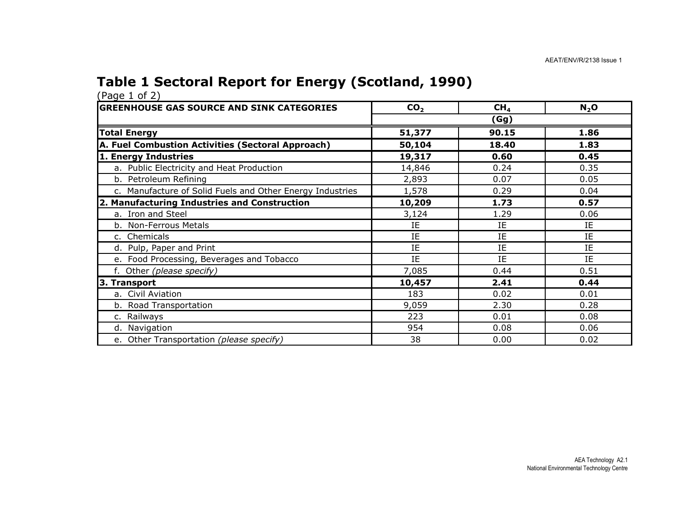## Table 1 Sectoral Report for Energy (Scotland, 1990)

| <b>IGREENHOUSE GAS SOURCE AND SINK CATEGORIES</b>         | CO <sub>2</sub> | CH <sub>4</sub> | $N_2$ O |
|-----------------------------------------------------------|-----------------|-----------------|---------|
|                                                           |                 | (Gg)            |         |
| <b>Total Energy</b>                                       | 51,377          | 90.15           | 1.86    |
| A. Fuel Combustion Activities (Sectoral Approach)         | 50,104          | 18.40           | 1.83    |
| 1. Energy Industries                                      | 19,317          | 0.60            | 0.45    |
| a. Public Electricity and Heat Production                 | 14,846          | 0.24            | 0.35    |
| b. Petroleum Refining                                     | 2,893           | 0.07            | 0.05    |
| c. Manufacture of Solid Fuels and Other Energy Industries | 1,578           | 0.29            | 0.04    |
| 2. Manufacturing Industries and Construction              | 10,209          | 1.73            | 0.57    |
| a. Iron and Steel                                         | 3,124           | 1.29            | 0.06    |
| b. Non-Ferrous Metals                                     | IE              | IE              | ΙE      |
| c. Chemicals                                              | IE              | IE              | IE      |
| d. Pulp, Paper and Print                                  | IE              | IE              | IE      |
| e. Food Processing, Beverages and Tobacco                 | IE              | IE              | IE      |
| f. Other (please specify)                                 | 7,085           | 0.44            | 0.51    |
| 3. Transport                                              | 10,457          | 2.41            | 0.44    |
| a. Civil Aviation                                         | 183             | 0.02            | 0.01    |
| b. Road Transportation                                    | 9,059           | 2.30            | 0.28    |
| c. Railways                                               | 223             | 0.01            | 0.08    |
| d. Navigation                                             | 954             | 0.08            | 0.06    |
| e. Other Transportation (please specify)                  | 38              | 0.00            | 0.02    |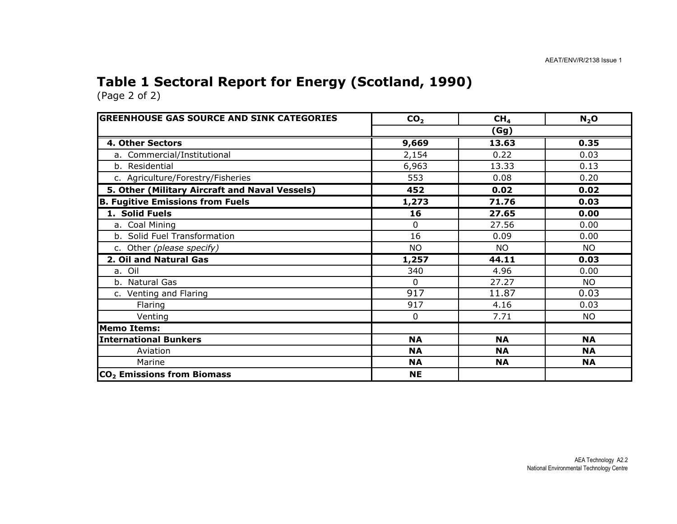## Table 1 Sectoral Report for Energy (Scotland, 1990)

| <b>GREENHOUSE GAS SOURCE AND SINK CATEGORIES</b> | CO <sub>2</sub> | CH <sub>4</sub> | N <sub>2</sub> O |
|--------------------------------------------------|-----------------|-----------------|------------------|
|                                                  |                 | (Gg)            |                  |
| 4. Other Sectors                                 | 9,669           | 13.63           | 0.35             |
| a. Commercial/Institutional                      | 2,154           | 0.22            | 0.03             |
| b. Residential                                   | 6,963           | 13.33           | 0.13             |
| c. Agriculture/Forestry/Fisheries                | 553             | 0.08            | 0.20             |
| 5. Other (Military Aircraft and Naval Vessels)   | 452             | 0.02            | 0.02             |
| <b>B. Fugitive Emissions from Fuels</b>          | 1,273           | 71.76           | 0.03             |
| 1. Solid Fuels                                   | 16              | 27.65           | 0.00             |
| a. Coal Mining                                   | $\Omega$        | 27.56           | 0.00             |
| b. Solid Fuel Transformation                     | 16              | 0.09            | 0.00             |
| c. Other (please specify)                        | <b>NO</b>       | <b>NO</b>       | <b>NO</b>        |
| 2. Oil and Natural Gas                           | 1,257           | 44.11           | 0.03             |
| a. Oil                                           | 340             | 4.96            | 0.00             |
| b. Natural Gas                                   | $\Omega$        | 27.27           | NO.              |
| c. Venting and Flaring                           | 917             | 11.87           | 0.03             |
| Flaring                                          | 917             | 4.16            | 0.03             |
| Venting                                          | $\mathbf{0}$    | 7.71            | <b>NO</b>        |
| <b>Memo Items:</b>                               |                 |                 |                  |
| <b>International Bunkers</b>                     | <b>NA</b>       | <b>NA</b>       | <b>NA</b>        |
| Aviation                                         | <b>NA</b>       | <b>NA</b>       | <b>NA</b>        |
| Marine                                           | <b>NA</b>       | <b>NA</b>       | <b>NA</b>        |
| CO <sub>2</sub> Emissions from Biomass           | <b>NE</b>       |                 |                  |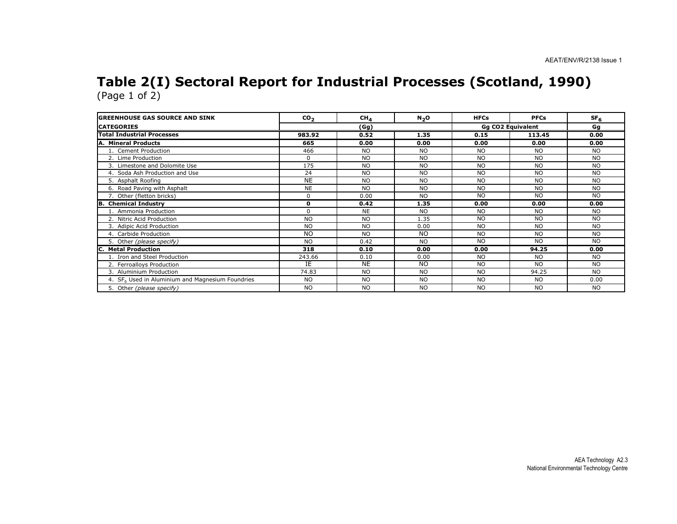#### Table 2(I) Sectoral Report for Industrial Processes (Scotland, 1990) (Page 1 of 2)

| <b>GREENHOUSE GAS SOURCE AND SINK</b>              | CO <sub>2</sub> | CH <sub>4</sub> | N <sub>2</sub> O | <b>HFCs</b> | <b>PFCs</b>              | SF <sub>6</sub> |
|----------------------------------------------------|-----------------|-----------------|------------------|-------------|--------------------------|-----------------|
| <b>CATEGORIES</b>                                  |                 | (Gg)            |                  |             | <b>Gg CO2 Equivalent</b> | Gg              |
| <b>Total Industrial Processes</b>                  | 983.92          | 0.52            | 1.35             | 0.15        | 113.45                   | 0.00            |
| A. Mineral Products                                | 665             | 0.00            | 0.00             | 0.00        | 0.00                     | 0.00            |
| 1. Cement Production                               | 466             | <b>NO</b>       | <b>NO</b>        | <b>NO</b>   | <b>NO</b>                | <b>NO</b>       |
| 2. Lime Production                                 | $\Omega$        | <b>NO</b>       | <b>NO</b>        | <b>NO</b>   | <b>NO</b>                | <b>NO</b>       |
| 3. Limestone and Dolomite Use                      | 175             | N <sub>O</sub>  | <b>NO</b>        | <b>NO</b>   | <b>NO</b>                | <b>NO</b>       |
| 4. Soda Ash Production and Use                     | 24              | <b>NO</b>       | <b>NO</b>        | <b>NO</b>   | <b>NO</b>                | <b>NO</b>       |
| 5. Asphalt Roofing                                 | <b>NE</b>       | <b>NO</b>       | <b>NO</b>        | <b>NO</b>   | <b>NO</b>                | <b>NO</b>       |
| 6. Road Paving with Asphalt                        | <b>NE</b>       | <b>NO</b>       | <b>NO</b>        | <b>NO</b>   | <b>NO</b>                | <b>NO</b>       |
| 7. Other (fletton bricks)                          | $\Omega$        | 0.00            | <b>NO</b>        | <b>NO</b>   | <b>NO</b>                | <b>NO</b>       |
| <b>B.</b> Chemical Industry                        | 0               | 0.42            | 1.35             | 0.00        | 0.00                     | 0.00            |
| Ammonia Production                                 | $\Omega$        | <b>NE</b>       | <b>NO</b>        | NO.         | <b>NO</b>                | <b>NO</b>       |
| 2. Nitric Acid Production                          | <b>NO</b>       | <b>NO</b>       | 1.35             | <b>NO</b>   | <b>NO</b>                | <b>NO</b>       |
| 3. Adipic Acid Production                          | <b>NO</b>       | <b>NO</b>       | 0.00             | <b>NO</b>   | <b>NO</b>                | <b>NO</b>       |
| 4. Carbide Production                              | <b>NO</b>       | N <sub>O</sub>  | <b>NO</b>        | <b>NO</b>   | <b>NO</b>                | <b>NO</b>       |
| 5. Other (please specify)                          | <b>NO</b>       | 0.42            | <b>NO</b>        | NO.         | <b>NO</b>                | <b>NO</b>       |
| <b>Metal Production</b><br>C.                      | 318             | 0.10            | 0.00             | 0.00        | 94.25                    | 0.00            |
| 1. Iron and Steel Production                       | 243.66          | 0.10            | 0.00             | <b>NO</b>   | <b>NO</b>                | <b>NO</b>       |
| 2. Ferroalloys Production                          | IΕ              | <b>NE</b>       | <b>NO</b>        | <b>NO</b>   | <b>NO</b>                | <b>NO</b>       |
| 3. Aluminium Production                            | 74.83           | <b>NO</b>       | <b>NO</b>        | NO.         | 94.25                    | <b>NO</b>       |
| 4. $SF6$ Used in Aluminium and Magnesium Foundries | <b>NO</b>       | N <sub>O</sub>  | <b>NO</b>        | NO.         | <b>NO</b>                | 0.00            |
| 5. Other (please specify)                          | <b>NO</b>       | <b>NO</b>       | <b>NO</b>        | <b>NO</b>   | <b>NO</b>                | <b>NO</b>       |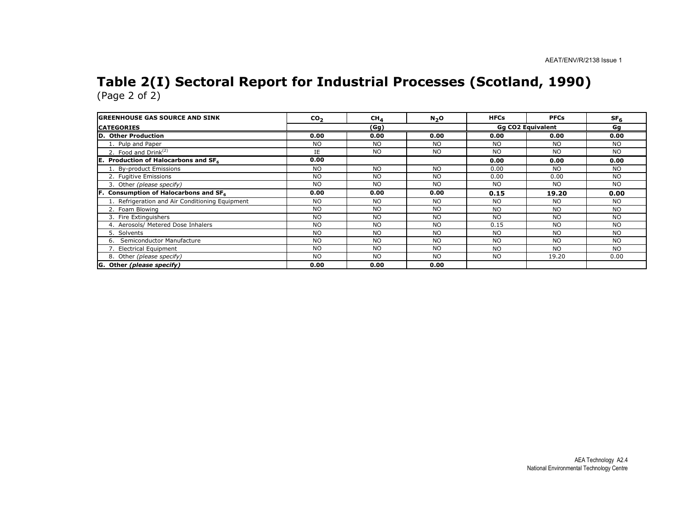#### Table 2(I) Sectoral Report for Industrial Processes (Scotland, 1990) (Page 2 of 2)

| <b>IGREENHOUSE GAS SOURCE AND SINK</b>               | CO <sub>2</sub> | CH <sub>4</sub> | $N_2$ O   | <b>HFCs</b>              | <b>PFCs</b> | SF <sub>6</sub> |
|------------------------------------------------------|-----------------|-----------------|-----------|--------------------------|-------------|-----------------|
| <b>CATEGORIES</b>                                    | (Gg)            |                 |           | <b>Gg CO2 Equivalent</b> | Gg          |                 |
| D. Other Production                                  | 0.00            | 0.00            | 0.00      | 0.00                     | 0.00        | 0.00            |
| 1. Pulp and Paper                                    | <b>NO</b>       | N <sub>O</sub>  | <b>NO</b> | <b>NO</b>                | <b>NO</b>   | <b>NO</b>       |
| 2. Food and $Drink(2)$                               | IE              | N <sub>O</sub>  | <b>NO</b> | <b>NO</b>                | <b>NO</b>   | <b>NO</b>       |
| IE.<br><b>Production of Halocarbons and SF6</b>      | 0.00            |                 |           | 0.00                     | 0.00        | 0.00            |
| 1. By-product Emissions                              | NO.             | NO.             | <b>NO</b> | 0.00                     | NO.         | <b>NO</b>       |
| 2. Fugitive Emissions                                | NO.             | <b>NO</b>       | <b>NO</b> | 0.00                     | 0.00        | <b>NO</b>       |
| 3. Other (please specify)                            | <b>NO</b>       | <b>NO</b>       | <b>NO</b> | <b>NO</b>                | NO.         | <b>NO</b>       |
| Consumption of Halocarbons and SF <sub>6</sub><br>F. | 0.00            | 0.00            | 0.00      | 0.15                     | 19.20       | 0.00            |
| 1. Refrigeration and Air Conditioning Equipment      | NO.             | <b>NO</b>       | <b>NO</b> | N <sub>O</sub>           | NO.         | <b>NO</b>       |
| 2. Foam Blowing                                      | NO.             | <b>NO</b>       | <b>NO</b> | N <sub>O</sub>           | NO.         | <b>NO</b>       |
| 3. Fire Extinguishers                                | <b>NO</b>       | <b>NO</b>       | <b>NO</b> | <b>NO</b>                | <b>NO</b>   | <b>NO</b>       |
| 4. Aerosols/ Metered Dose Inhalers                   | NO.             | N <sub>O</sub>  | <b>NO</b> | 0.15                     | <b>NO</b>   | N <sub>O</sub>  |
| 5. Solvents                                          | <b>NO</b>       | <b>NO</b>       | <b>NO</b> | <b>NO</b>                | NO.         | <b>NO</b>       |
| Semiconductor Manufacture                            | <b>NO</b>       | N <sub>O</sub>  | <b>NO</b> | <b>NO</b>                | <b>NO</b>   | <b>NO</b>       |
| 7. Electrical Equipment                              | NO.             | N <sub>O</sub>  | <b>NO</b> | N <sub>O</sub>           | NO.         | <b>NO</b>       |
| 8. Other (please specify)                            | <b>NO</b>       | N <sub>O</sub>  | <b>NO</b> | <b>NO</b>                | 19.20       | 0.00            |
| G. Other (please specify)                            | 0.00            | 0.00            | 0.00      |                          |             |                 |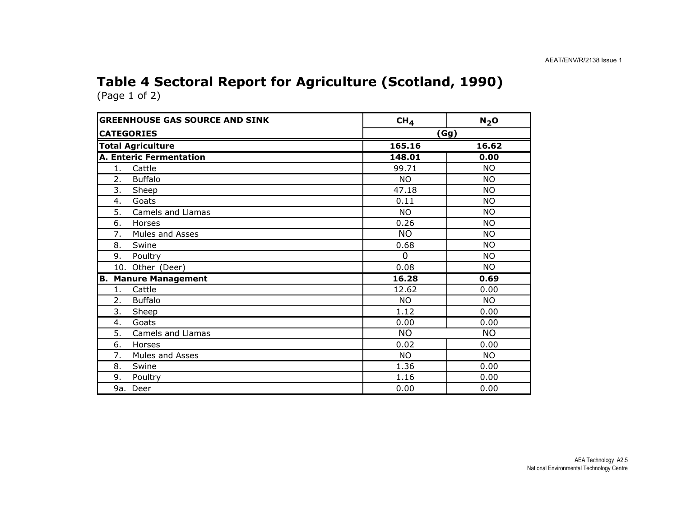# Table 4 Sectoral Report for Agriculture (Scotland, 1990)

| <b>GREENHOUSE GAS SOURCE AND SINK</b> | CH <sub>4</sub> | N <sub>2</sub> O |
|---------------------------------------|-----------------|------------------|
| <b>CATEGORIES</b>                     | (Gg)            |                  |
| <b>Total Agriculture</b>              | 165.16          | 16.62            |
| <b>A. Enteric Fermentation</b>        | 148.01          | 0.00             |
| 1.<br>Cattle                          | 99.71           | <b>NO</b>        |
| <b>Buffalo</b><br>2.                  | <b>NO</b>       | <b>NO</b>        |
| 3.<br>Sheep                           | 47.18           | <b>NO</b>        |
| Goats<br>4.                           | 0.11            | <b>NO</b>        |
| 5.<br>Camels and Llamas               | <b>NO</b>       | <b>NO</b>        |
| 6.<br>Horses                          | 0.26            | <b>NO</b>        |
| 7.<br>Mules and Asses                 | <b>NO</b>       | <b>NO</b>        |
| 8.<br>Swine                           | 0.68            | <b>NO</b>        |
| 9.<br>Poultry                         | $\Omega$        | <b>NO</b>        |
| 10. Other (Deer)                      | 0.08            | <b>NO</b>        |
| <b>Manure Management</b><br>B.        | 16.28           | 0.69             |
| Cattle<br>1.                          | 12.62           | 0.00             |
| <b>Buffalo</b><br>2.                  | <b>NO</b>       | <b>NO</b>        |
| 3.<br>Sheep                           | 1.12            | 0.00             |
| Goats<br>4.                           | 0.00            | 0.00             |
| 5.<br>Camels and Llamas               | <b>NO</b>       | <b>NO</b>        |
| 6.<br>Horses                          | 0.02            | 0.00             |
| Mules and Asses<br>7.                 | <b>NO</b>       | <b>NO</b>        |
| 8.<br>Swine                           | 1.36            | 0.00             |
| 9.<br>Poultry                         | 1.16            | 0.00             |
| 9a.<br>Deer                           | 0.00            | 0.00             |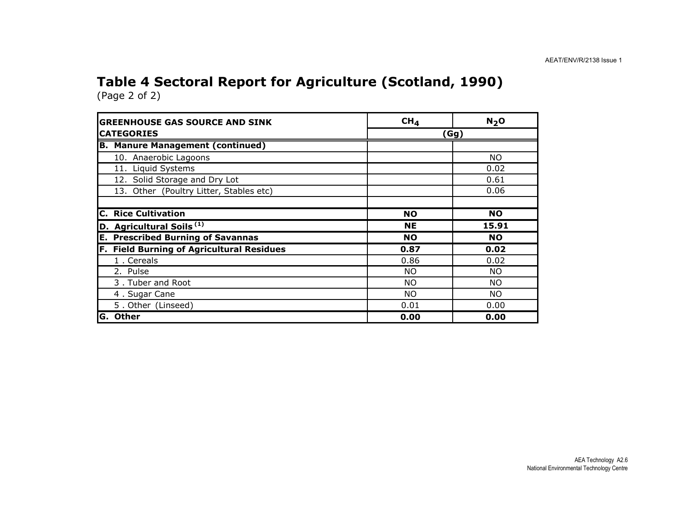# Table 4 Sectoral Report for Agriculture (Scotland, 1990)

(Page 2 of 2)

| <b>GREENHOUSE GAS SOURCE AND SINK</b>            | CH <sub>4</sub> | N <sub>2</sub> O |
|--------------------------------------------------|-----------------|------------------|
| <b>CATEGORIES</b>                                |                 | (Gg)             |
| <b>B. Manure Management (continued)</b>          |                 |                  |
| 10. Anaerobic Lagoons                            |                 | <b>NO</b>        |
| 11. Liquid Systems                               |                 | 0.02             |
| 12. Solid Storage and Dry Lot                    |                 | 0.61             |
| 13. Other (Poultry Litter, Stables etc)          |                 | 0.06             |
| <b>C. Rice Cultivation</b>                       | <b>NO</b>       | <b>NO</b>        |
| D. Agricultural Soils <sup>(1)</sup>             | <b>NE</b>       | 15.91            |
| <b>E. Prescribed Burning of Savannas</b>         | <b>NO</b>       | <b>NO</b>        |
| <b>F. Field Burning of Agricultural Residues</b> | 0.87            | 0.02             |
| 1. Cereals                                       | 0.86            | 0.02             |
| 2. Pulse                                         | <b>NO</b>       | NO.              |
| 3. Tuber and Root                                | <b>NO</b>       | NO.              |
| 4. Sugar Cane                                    | <b>NO</b>       | NO.              |
| 5. Other (Linseed)                               | 0.01            | 0.00             |
| <b>Other</b><br>IG.                              | 0.00            | 0.00             |

 AEA Technology A2.6 National Environmental Technology Centre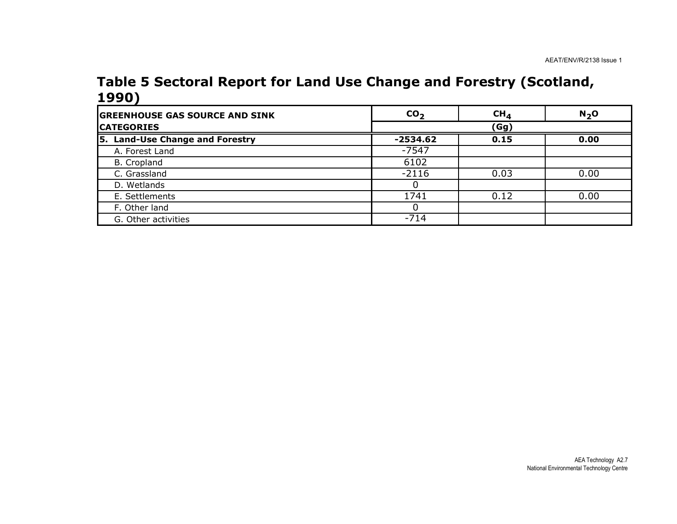#### Table 5 Sectoral Report for Land Use Change and Forestry (Scotland, 1990)

| <b>GREENHOUSE GAS SOURCE AND SINK</b> | CO <sub>2</sub> | CH <sub>4</sub> | $N2$ O |
|---------------------------------------|-----------------|-----------------|--------|
| <b>CATEGORIES</b>                     |                 | (Gg)            |        |
| 5. Land-Use Change and Forestry       | -2534.62        | 0.15            | 0.00   |
| A. Forest Land                        | $-7547$         |                 |        |
| B. Cropland                           | 6102            |                 |        |
| C. Grassland                          | $-2116$         | 0.03            | 0.00   |
| D. Wetlands                           |                 |                 |        |
| E. Settlements                        | 1741            | 0.12            | 0.00   |
| F. Other land                         |                 |                 |        |
| G. Other activities                   | $-714$          |                 |        |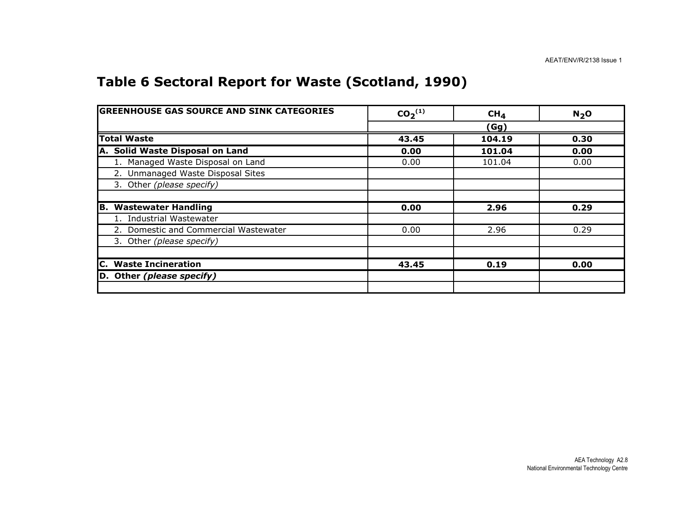## Table 6 Sectoral Report for Waste (Scotland, 1990)

| <b>GREENHOUSE GAS SOURCE AND SINK CATEGORIES</b> | CO <sub>2</sub> <sup>(1)</sup> | CH <sub>4</sub> | $N2$ O |
|--------------------------------------------------|--------------------------------|-----------------|--------|
|                                                  |                                | (Gg)            |        |
| <b>Total Waste</b>                               | 43.45                          | 104.19          | 0.30   |
| A. Solid Waste Disposal on Land                  | 0.00                           | 101.04          | 0.00   |
| 1. Managed Waste Disposal on Land                | 0.00                           | 101.04          | 0.00   |
| 2. Unmanaged Waste Disposal Sites                |                                |                 |        |
| 3. Other (please specify)                        |                                |                 |        |
|                                                  |                                |                 |        |
| <b>B. Wastewater Handling</b>                    | 0.00                           | 2.96            | 0.29   |
| 1. Industrial Wastewater                         |                                |                 |        |
| 2. Domestic and Commercial Wastewater            | 0.00                           | 2.96            | 0.29   |
| 3. Other (please specify)                        |                                |                 |        |
|                                                  |                                |                 |        |
| <b>C.</b> Waste Incineration                     | 43.45                          | 0.19            | 0.00   |
| D. Other (please specify)                        |                                |                 |        |
|                                                  |                                |                 |        |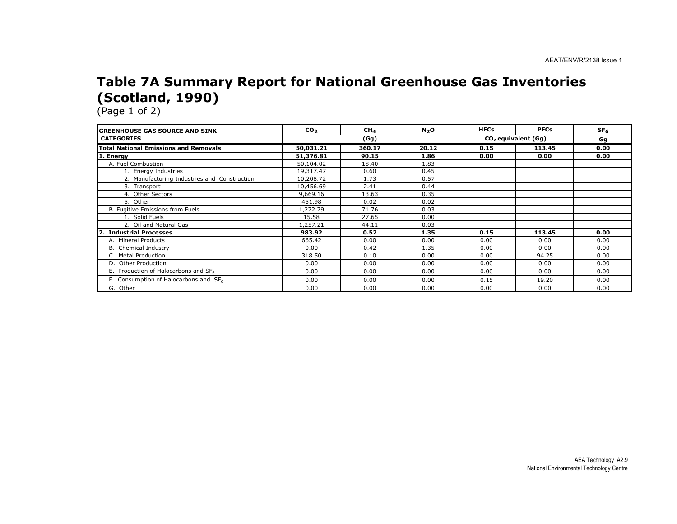#### Table 7A Summary Report for National Greenhouse Gas Inventories (Scotland, 1990)

| <b>IGREENHOUSE GAS SOURCE AND SINK</b>           | CO <sub>2</sub> | $CH_{4}$ | N <sub>2</sub> O | <b>HFCs</b> | <b>PFCs</b>                     | SF <sub>6</sub> |
|--------------------------------------------------|-----------------|----------|------------------|-------------|---------------------------------|-----------------|
| <b>CATEGORIES</b>                                |                 | (Gg)     |                  |             | CO <sub>2</sub> equivalent (Gg) | Gg              |
| Total National Emissions and Removals            | 50,031.21       | 360.17   | 20.12            | 0.15        | 113.45                          | 0.00            |
| 1. Energy                                        | 51,376.81       | 90.15    | 1.86             | 0.00        | 0.00                            | 0.00            |
| A. Fuel Combustion                               | 50,104.02       | 18.40    | 1.83             |             |                                 |                 |
| 1. Energy Industries                             | 19,317.47       | 0.60     | 0.45             |             |                                 |                 |
| 2. Manufacturing Industries and Construction     | 10,208.72       | 1.73     | 0.57             |             |                                 |                 |
| 3. Transport                                     | 10,456.69       | 2.41     | 0.44             |             |                                 |                 |
| 4. Other Sectors                                 | 9,669.16        | 13.63    | 0.35             |             |                                 |                 |
| 5. Other                                         | 451.98          | 0.02     | 0.02             |             |                                 |                 |
| B. Fugitive Emissions from Fuels                 | 1,272.79        | 71.76    | 0.03             |             |                                 |                 |
| 1. Solid Fuels                                   | 15.58           | 27.65    | 0.00             |             |                                 |                 |
| 2. Oil and Natural Gas                           | 1,257.21        | 44.11    | 0.03             |             |                                 |                 |
| 2. Industrial Processes                          | 983.92          | 0.52     | 1.35             | 0.15        | 113.45                          | 0.00            |
| A. Mineral Products                              | 665.42          | 0.00     | 0.00             | 0.00        | 0.00                            | 0.00            |
| <b>B.</b> Chemical Industry                      | 0.00            | 0.42     | 1.35             | 0.00        | 0.00                            | 0.00            |
| C. Metal Production                              | 318.50          | 0.10     | 0.00             | 0.00        | 94.25                           | 0.00            |
| D. Other Production                              | 0.00            | 0.00     | 0.00             | 0.00        | 0.00                            | 0.00            |
| E. Production of Halocarbons and SF <sub>6</sub> | 0.00            | 0.00     | 0.00             | 0.00        | 0.00                            | 0.00            |
| F. Consumption of Halocarbons and $SF6$          | 0.00            | 0.00     | 0.00             | 0.15        | 19.20                           | 0.00            |
| G.<br>Other                                      | 0.00            | 0.00     | 0.00             | 0.00        | 0.00                            | 0.00            |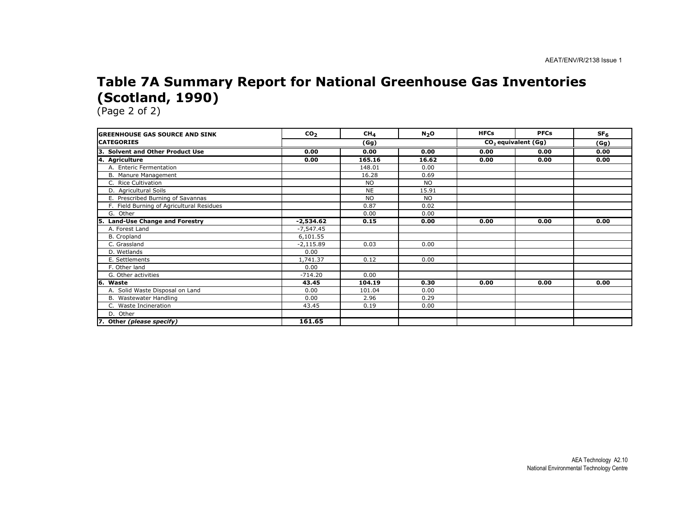#### Table 7A Summary Report for National Greenhouse Gas Inventories (Scotland, 1990)

| <b>GREENHOUSE GAS SOURCE AND SINK</b>      | CO <sub>2</sub> | CH <sub>4</sub> | N <sub>2</sub> O | <b>HFCs</b> | <b>PFCs</b>                     | SF <sub>6</sub> |
|--------------------------------------------|-----------------|-----------------|------------------|-------------|---------------------------------|-----------------|
| <b>CATEGORIES</b>                          |                 | (Gg)            |                  |             | CO <sub>2</sub> equivalent (Gg) | (Gg)            |
| 3. Solvent and Other Product Use           | 0.00            | 0.00            | 0.00             | 0.00        | 0.00                            | 0.00            |
| 4. Agriculture                             | 0.00            | 165.16          | 16.62            | 0.00        | 0.00                            | 0.00            |
| A. Enteric Fermentation                    |                 | 148.01          | 0.00             |             |                                 |                 |
| B. Manure Management                       |                 | 16.28           | 0.69             |             |                                 |                 |
| C. Rice Cultivation                        |                 | <b>NO</b>       | <b>NO</b>        |             |                                 |                 |
| D. Agricultural Soils                      |                 | <b>NE</b>       | 15.91            |             |                                 |                 |
| E. Prescribed Burning of Savannas          |                 | <b>NO</b>       | NO.              |             |                                 |                 |
| F. Field Burning of Agricultural Residues  |                 | 0.87            | 0.02             |             |                                 |                 |
| G. Other                                   |                 | 0.00            | 0.00             |             |                                 |                 |
| <b>Land-Use Change and Forestry</b><br>15. | -2,534.62       | 0.15            | 0.00             | 0.00        | 0.00                            | 0.00            |
| A. Forest Land                             | $-7,547.45$     |                 |                  |             |                                 |                 |
| <b>B.</b> Cropland                         | 6,101.55        |                 |                  |             |                                 |                 |
| C. Grassland                               | $-2,115.89$     | 0.03            | 0.00             |             |                                 |                 |
| D. Wetlands                                | 0.00            |                 |                  |             |                                 |                 |
| E. Settlements                             | 1,741.37        | 0.12            | 0.00             |             |                                 |                 |
| F. Other land                              | 0.00            |                 |                  |             |                                 |                 |
| G. Other activities                        | $-714.20$       | 0.00            |                  |             |                                 |                 |
| 6. Waste                                   | 43.45           | 104.19          | 0.30             | 0.00        | 0.00                            | 0.00            |
| A. Solid Waste Disposal on Land            | 0.00            | 101.04          | 0.00             |             |                                 |                 |
| B. Wastewater Handling                     | 0.00            | 2.96            | 0.29             |             |                                 |                 |
| C. Waste Incineration                      | 43.45           | 0.19            | 0.00             |             |                                 |                 |
| D. Other                                   |                 |                 |                  |             |                                 |                 |
| 7. Other (please specify)                  | 161.65          |                 |                  |             |                                 |                 |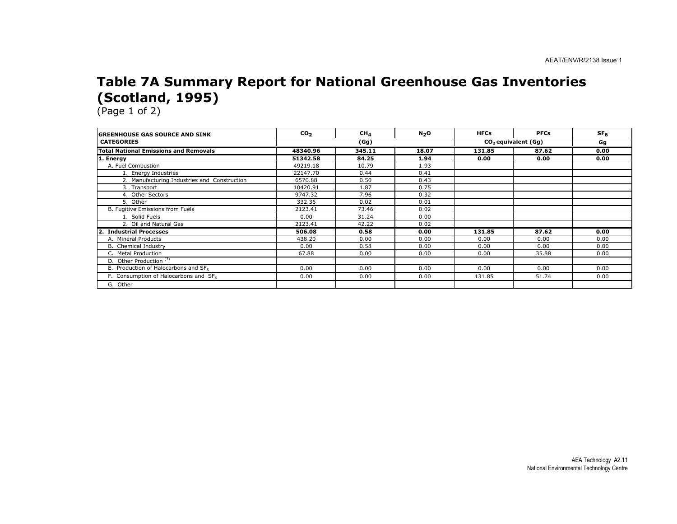#### Table 7A Summary Report for National Greenhouse Gas Inventories (Scotland, 1995)

| <b>GREENHOUSE GAS SOURCE AND SINK</b>             | CO <sub>2</sub> | CH <sub>4</sub> | N <sub>2</sub> O | <b>HFCs</b> | <b>PFCs</b>           | SF <sub>6</sub> |
|---------------------------------------------------|-----------------|-----------------|------------------|-------------|-----------------------|-----------------|
| <b>CATEGORIES</b>                                 |                 | (Gg)            |                  |             | $CO2$ equivalent (Gg) | Gg              |
| <b>Total National Emissions and Removals</b>      | 48340.96        | 345.11          | 18.07            | 131.85      | 87.62                 | 0.00            |
| 1. Energy                                         | 51342.58        | 84.25           | 1.94             | 0.00        | 0.00                  | 0.00            |
| A. Fuel Combustion                                | 49219.18        | 10.79           | 1.93             |             |                       |                 |
| 1. Energy Industries                              | 22147.70        | 0.44            | 0.41             |             |                       |                 |
| 2. Manufacturing Industries and Construction      | 6570.88         | 0.50            | 0.43             |             |                       |                 |
| 3. Transport                                      | 10420.91        | 1.87            | 0.75             |             |                       |                 |
| 4. Other Sectors                                  | 9747.32         | 7.96            | 0.32             |             |                       |                 |
| 5. Other                                          | 332.36          | 0.02            | 0.01             |             |                       |                 |
| B. Fugitive Emissions from Fuels                  | 2123.41         | 73.46           | 0.02             |             |                       |                 |
| 1. Solid Fuels                                    | 0.00            | 31.24           | 0.00             |             |                       |                 |
| 2. Oil and Natural Gas                            | 2123.41         | 42.22           | 0.02             |             |                       |                 |
| <b>Industrial Processes</b>                       | 506.08          | 0.58            | 0.00             | 131.85      | 87.62                 | 0.00            |
| A. Mineral Products                               | 438.20          | 0.00            | 0.00             | 0.00        | 0.00                  | 0.00            |
| <b>B.</b> Chemical Industry                       | 0.00            | 0.58            | 0.00             | 0.00        | 0.00                  | 0.00            |
| C. Metal Production                               | 67.88           | 0.00            | 0.00             | 0.00        | 35.88                 | 0.00            |
| D. Other Production <sup>(3)</sup>                |                 |                 |                  |             |                       |                 |
| E. Production of Halocarbons and SF <sub>6</sub>  | 0.00            | 0.00            | 0.00             | 0.00        | 0.00                  | 0.00            |
| F. Consumption of Halocarbons and SF <sub>6</sub> | 0.00            | 0.00            | 0.00             | 131.85      | 51.74                 | 0.00            |
| G. Other                                          |                 |                 |                  |             |                       |                 |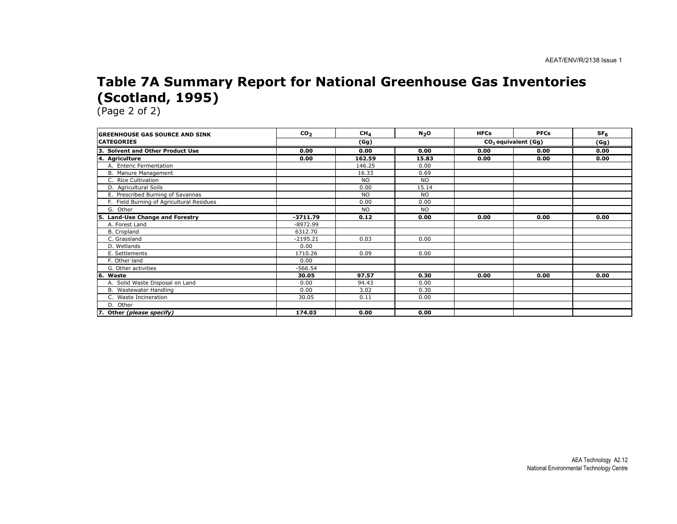#### Table 7A Summary Report for National Greenhouse Gas Inventories (Scotland, 1995)

| <b>IGREENHOUSE GAS SOURCE AND SINK</b>     | CO <sub>2</sub> | CH <sub>4</sub> | N <sub>2</sub> O | <b>HFCs</b> | <b>PFCs</b>           | SF <sub>6</sub> |
|--------------------------------------------|-----------------|-----------------|------------------|-------------|-----------------------|-----------------|
| <b>ICATEGORIES</b>                         |                 | (Gg)            |                  |             | $CO2$ equivalent (Gg) | (Gg)            |
| з.<br><b>Solvent and Other Product Use</b> | 0.00            | 0.00            | 0.00             | 0.00        | 0.00                  | 0.00            |
| 4. Agriculture                             | 0.00            | 162.59          | 15.83            | 0.00        | 0.00                  | 0.00            |
| A. Enteric Fermentation                    |                 | 146.25          | 0.00             |             |                       |                 |
| B. Manure Management                       |                 | 16.33           | 0.69             |             |                       |                 |
| C. Rice Cultivation                        |                 | <b>NO</b>       | <b>NO</b>        |             |                       |                 |
| D. Agricultural Soils                      |                 | 0.00            | 15.14            |             |                       |                 |
| E. Prescribed Burning of Savannas          |                 | <b>NO</b>       | <b>NO</b>        |             |                       |                 |
| F. Field Burning of Agricultural Residues  |                 | 0.00            | 0.00             |             |                       |                 |
| G. Other                                   |                 | <b>NO</b>       | <b>NO</b>        |             |                       |                 |
| <b>Land-Use Change and Forestry</b><br>5.  | $-3711.79$      | 0.12            | 0.00             | 0.00        | 0.00                  | 0.00            |
| A. Forest Land                             | -8972.99        |                 |                  |             |                       |                 |
| B. Cropland                                | 6312.70         |                 |                  |             |                       |                 |
| C. Grassland                               | $-2195.21$      | 0.03            | 0.00             |             |                       |                 |
| D. Wetlands                                | 0.00            |                 |                  |             |                       |                 |
| E. Settlements                             | 1710.26         | 0.09            | 0.00             |             |                       |                 |
| F. Other land                              | 0.00            |                 |                  |             |                       |                 |
| G. Other activities                        | $-566.54$       |                 |                  |             |                       |                 |
| l6.<br>Waste                               | 30.05           | 97.57           | 0.30             | 0.00        | 0.00                  | 0.00            |
| A. Solid Waste Disposal on Land            | 0.00            | 94.43           | 0.00             |             |                       |                 |
| B. Wastewater Handling                     | 0.00            | 3.02            | 0.30             |             |                       |                 |
| C. Waste Incineration                      | 30.05           | 0.11            | 0.00             |             |                       |                 |
| D. Other                                   |                 |                 |                  |             |                       |                 |
| 7. Other (please specify)                  | 174.03          | 0.00            | 0.00             |             |                       |                 |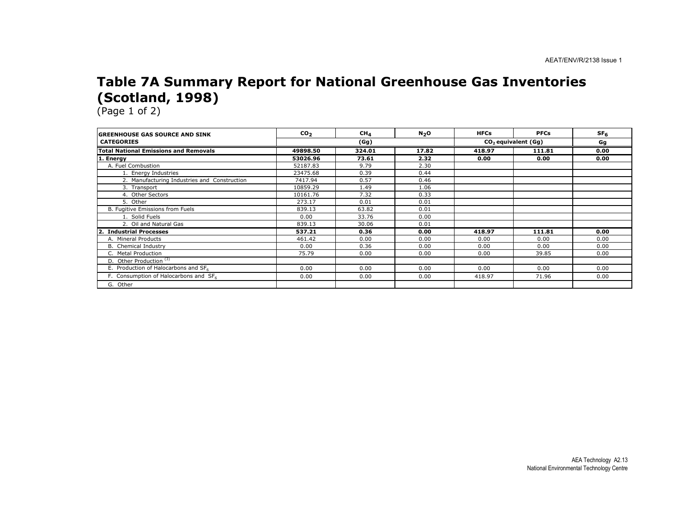#### Table 7A Summary Report for National Greenhouse Gas Inventories (Scotland, 1998)

| <b>GREENHOUSE GAS SOURCE AND SINK</b>            | CO <sub>2</sub> | CH <sub>4</sub> | N <sub>2</sub> O | <b>HFCs</b> | <b>PFCs</b>           | SF <sub>6</sub> |
|--------------------------------------------------|-----------------|-----------------|------------------|-------------|-----------------------|-----------------|
| <b>CATEGORIES</b>                                |                 | (Gg)            |                  |             | $CO2$ equivalent (Gg) |                 |
| <b>Total National Emissions and Removals</b>     | 49898.50        | 324.01          | 17.82            | 418.97      | 111.81                | 0.00            |
| 1. Energy                                        | 53026.96        | 73.61           | 2.32             | 0.00        | 0.00                  | 0.00            |
| A. Fuel Combustion                               | 52187.83        | 9.79            | 2.30             |             |                       |                 |
| 1. Energy Industries                             | 23475.68        | 0.39            | 0.44             |             |                       |                 |
| 2. Manufacturing Industries and Construction     | 7417.94         | 0.57            | 0.46             |             |                       |                 |
| 3. Transport                                     | 10859.29        | 1.49            | 1.06             |             |                       |                 |
| 4. Other Sectors                                 | 10161.76        | 7.32            | 0.33             |             |                       |                 |
| 5. Other                                         | 273.17          | 0.01            | 0.01             |             |                       |                 |
| B. Fugitive Emissions from Fuels                 | 839.13          | 63.82           | 0.01             |             |                       |                 |
| 1. Solid Fuels                                   | 0.00            | 33.76           | 0.00             |             |                       |                 |
| 2. Oil and Natural Gas                           | 839.13          | 30.06           | 0.01             |             |                       |                 |
| <b>Industrial Processes</b>                      | 537.21          | 0.36            | 0.00             | 418.97      | 111.81                | 0.00            |
| A. Mineral Products                              | 461.42          | 0.00            | 0.00             | 0.00        | 0.00                  | 0.00            |
| B. Chemical Industry                             | 0.00            | 0.36            | 0.00             | 0.00        | 0.00                  | 0.00            |
| C. Metal Production                              | 75.79           | 0.00            | 0.00             | 0.00        | 39.85                 | 0.00            |
| D. Other Production <sup>(3)</sup>               |                 |                 |                  |             |                       |                 |
| E. Production of Halocarbons and SF <sub>6</sub> | 0.00            | 0.00            | 0.00             | 0.00        | 0.00                  | 0.00            |
| F. Consumption of Halocarbons and SF6            | 0.00            | 0.00            | 0.00             | 418.97      | 71.96                 | 0.00            |
| G. Other                                         |                 |                 |                  |             |                       |                 |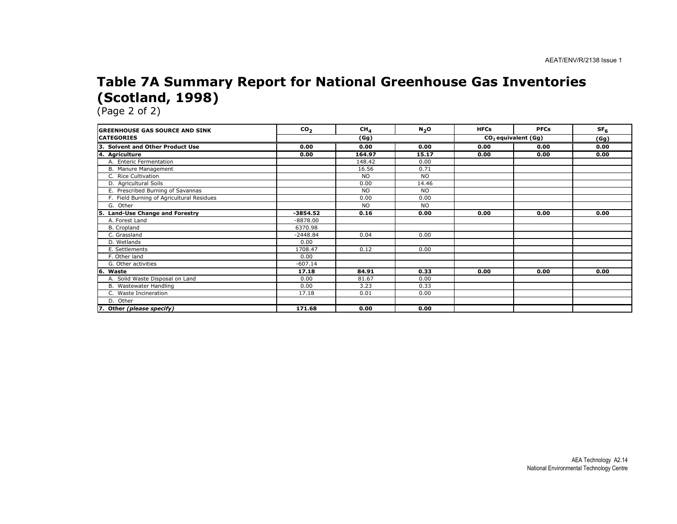#### Table 7A Summary Report for National Greenhouse Gas Inventories (Scotland, 1998)

| <b>GREENHOUSE GAS SOURCE AND SINK</b>      | CO <sub>2</sub> | CH <sub>4</sub> | $N_2O$    | <b>HFCs</b> | <b>PFCs</b>           | SF <sub>6</sub> |
|--------------------------------------------|-----------------|-----------------|-----------|-------------|-----------------------|-----------------|
| <b>CATEGORIES</b>                          |                 | (Gg)            |           |             | $CO2$ equivalent (Gg) |                 |
| 3. Solvent and Other Product Use           | 0.00            | 0.00            | 0.00      | 0.00        | 0.00                  | 0.00            |
| 4. Agriculture                             | 0.00            | 164.97          | 15.17     | 0.00        | 0.00                  | 0.00            |
| A. Enteric Fermentation                    |                 | 148.42          | 0.00      |             |                       |                 |
| B. Manure Management                       |                 | 16.56           | 0.71      |             |                       |                 |
| C. Rice Cultivation                        |                 | <b>NO</b>       | <b>NO</b> |             |                       |                 |
| D. Agricultural Soils                      |                 | 0.00            | 14.46     |             |                       |                 |
| E. Prescribed Burning of Savannas          |                 | <b>NO</b>       | <b>NO</b> |             |                       |                 |
| F. Field Burning of Agricultural Residues  |                 | 0.00            | 0.00      |             |                       |                 |
| G. Other                                   |                 | <b>NO</b>       | <b>NO</b> |             |                       |                 |
| <b>Land-Use Change and Forestry</b><br>15. | $-3854.52$      | 0.16            | 0.00      | 0.00        | 0.00                  | 0.00            |
| A. Forest Land                             | $-8878.00$      |                 |           |             |                       |                 |
| B. Cropland                                | 6370.98         |                 |           |             |                       |                 |
| C. Grassland                               | $-2448.84$      | 0.04            | 0.00      |             |                       |                 |
| D. Wetlands                                | 0.00            |                 |           |             |                       |                 |
| E. Settlements                             | 1708.47         | 0.12            | 0.00      |             |                       |                 |
| F. Other land                              | 0.00            |                 |           |             |                       |                 |
| G. Other activities                        | $-607.14$       |                 |           |             |                       |                 |
| 6. Waste                                   | 17.18           | 84.91           | 0.33      | 0.00        | 0.00                  | 0.00            |
| A. Solid Waste Disposal on Land            | 0.00            | 81.67           | 0.00      |             |                       |                 |
| B. Wastewater Handling                     | 0.00            | 3.23            | 0.33      |             |                       |                 |
| C. Waste Incineration                      | 17.18           | 0.01            | 0.00      |             |                       |                 |
| D. Other                                   |                 |                 |           |             |                       |                 |
| 7. Other (please specify)                  | 171.68          | 0.00            | 0.00      |             |                       |                 |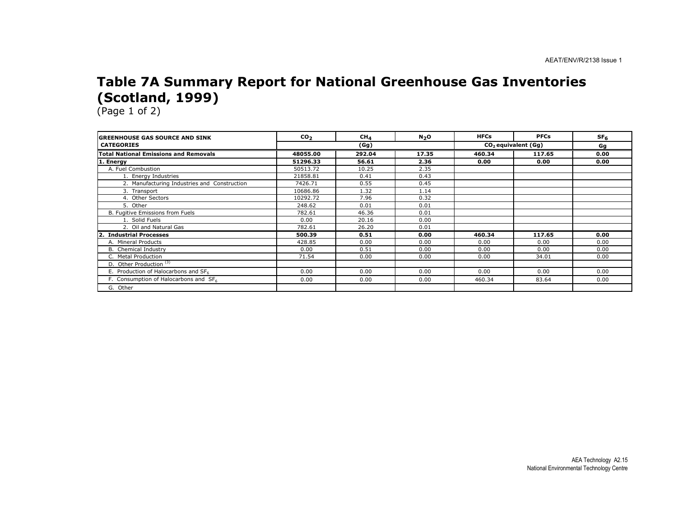#### Table 7A Summary Report for National Greenhouse Gas Inventories (Scotland, 1999)

| <b>IGREENHOUSE GAS SOURCE AND SINK</b>           | CO <sub>2</sub> | CH <sub>4</sub> | $N2$ O | <b>HFCs</b> | <b>PFCs</b>                     | SF <sub>6</sub> |
|--------------------------------------------------|-----------------|-----------------|--------|-------------|---------------------------------|-----------------|
| <b>CATEGORIES</b>                                |                 | (Gg)            |        |             | CO <sub>2</sub> equivalent (Gg) |                 |
| <b>Total National Emissions and Removals</b>     | 48055.00        | 292.04          | 17.35  | 460.34      | 117.65                          | 0.00            |
| 1. Energy                                        | 51296.33        | 56.61           | 2.36   | 0.00        | 0.00                            | 0.00            |
| A. Fuel Combustion                               | 50513.72        | 10.25           | 2.35   |             |                                 |                 |
| 1. Energy Industries                             | 21858.81        | 0.41            | 0.43   |             |                                 |                 |
| 2. Manufacturing Industries and Construction     | 7426.71         | 0.55            | 0.45   |             |                                 |                 |
| 3. Transport                                     | 10686.86        | 1.32            | 1.14   |             |                                 |                 |
| 4. Other Sectors                                 | 10292.72        | 7.96            | 0.32   |             |                                 |                 |
| 5. Other                                         | 248.62          | 0.01            | 0.01   |             |                                 |                 |
| B. Fugitive Emissions from Fuels                 | 782.61          | 46.36           | 0.01   |             |                                 |                 |
| 1. Solid Fuels                                   | 0.00            | 20.16           | 0.00   |             |                                 |                 |
| 2. Oil and Natural Gas                           | 782.61          | 26.20           | 0.01   |             |                                 |                 |
| <b>Industrial Processes</b>                      | 500.39          | 0.51            | 0.00   | 460.34      | 117.65                          | 0.00            |
| A. Mineral Products                              | 428.85          | 0.00            | 0.00   | 0.00        | 0.00                            | 0.00            |
| B. Chemical Industry                             | 0.00            | 0.51            | 0.00   | 0.00        | 0.00                            | 0.00            |
| C. Metal Production                              | 71.54           | 0.00            | 0.00   | 0.00        | 34.01                           | 0.00            |
| D. Other Production <sup>(3)</sup>               |                 |                 |        |             |                                 |                 |
| E. Production of Halocarbons and SF <sub>6</sub> | 0.00            | 0.00            | 0.00   | 0.00        | 0.00                            | 0.00            |
| F. Consumption of Halocarbons and SF6            | 0.00            | 0.00            | 0.00   | 460.34      | 83.64                           | 0.00            |
| G. Other                                         |                 |                 |        |             |                                 |                 |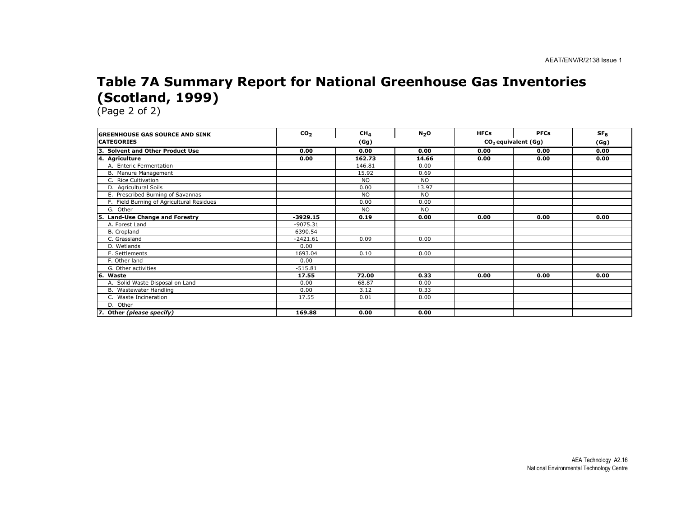#### Table 7A Summary Report for National Greenhouse Gas Inventories (Scotland, 1999)

| <b>GREENHOUSE GAS SOURCE AND SINK</b>     | CO <sub>2</sub> | CH <sub>4</sub> | N <sub>2</sub> O | <b>HFCs</b> | <b>PFCs</b>           | SF <sub>6</sub> |  |
|-------------------------------------------|-----------------|-----------------|------------------|-------------|-----------------------|-----------------|--|
| <b>CATEGORIES</b>                         | (Gg)            |                 |                  |             | $CO2$ equivalent (Gg) |                 |  |
| 3. Solvent and Other Product Use          | 0.00            | 0.00            | 0.00             | 0.00        | 0.00                  | 0.00            |  |
| 4. Agriculture                            | 0.00            | 162.73          | 14.66            | 0.00        | 0.00                  | 0.00            |  |
| A. Enteric Fermentation                   |                 | 146.81          | 0.00             |             |                       |                 |  |
| B. Manure Management                      |                 | 15.92           | 0.69             |             |                       |                 |  |
| C. Rice Cultivation                       |                 | <b>NO</b>       | NO.              |             |                       |                 |  |
| D. Agricultural Soils                     |                 | 0.00            | 13.97            |             |                       |                 |  |
| E. Prescribed Burning of Savannas         |                 | <b>NO</b>       | <b>NO</b>        |             |                       |                 |  |
| F. Field Burning of Agricultural Residues |                 | 0.00            | 0.00             |             |                       |                 |  |
| G. Other                                  |                 | <b>NO</b>       | <b>NO</b>        |             |                       |                 |  |
| Land-Use Change and Forestry<br>5.        | $-3929.15$      | 0.19            | 0.00             | 0.00        | 0.00                  | 0.00            |  |
| A. Forest Land                            | $-9075.31$      |                 |                  |             |                       |                 |  |
| B. Cropland                               | 6390.54         |                 |                  |             |                       |                 |  |
| C. Grassland                              | $-2421.61$      | 0.09            | 0.00             |             |                       |                 |  |
| D. Wetlands                               | 0.00            |                 |                  |             |                       |                 |  |
| E. Settlements                            | 1693.04         | 0.10            | 0.00             |             |                       |                 |  |
| F. Other land                             | 0.00            |                 |                  |             |                       |                 |  |
| G. Other activities                       | $-515.81$       |                 |                  |             |                       |                 |  |
| 6.<br>Waste                               | 17.55           | 72.00           | 0.33             | 0.00        | 0.00                  | 0.00            |  |
| A. Solid Waste Disposal on Land           | 0.00            | 68.87           | 0.00             |             |                       |                 |  |
| B. Wastewater Handling                    | 0.00            | 3.12            | 0.33             |             |                       |                 |  |
| C. Waste Incineration                     | 17.55           | 0.01            | 0.00             |             |                       |                 |  |
| D. Other                                  |                 |                 |                  |             |                       |                 |  |
| 7. Other (please specify)                 | 169.88          | 0.00            | 0.00             |             |                       |                 |  |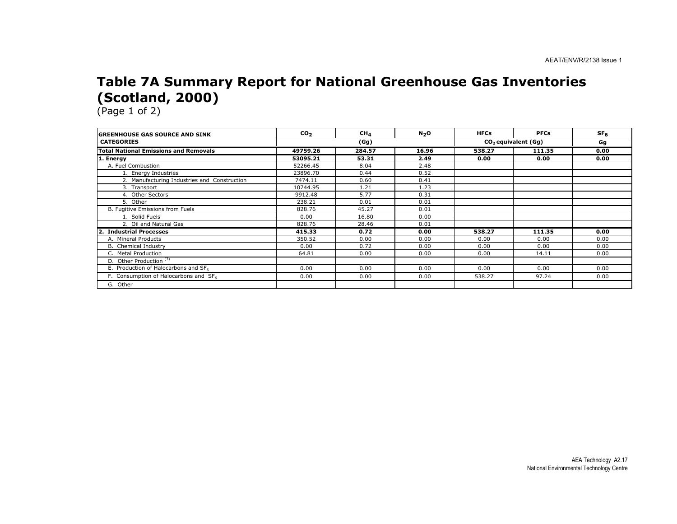#### Table 7A Summary Report for National Greenhouse Gas Inventories (Scotland, 2000)

| <b>IGREENHOUSE GAS SOURCE AND SINK</b>       | CO <sub>2</sub> | CH <sub>4</sub> | $N2$ O | <b>HFCs</b> | <b>PFCs</b>                     | SF <sub>6</sub> |
|----------------------------------------------|-----------------|-----------------|--------|-------------|---------------------------------|-----------------|
| <b>CATEGORIES</b>                            |                 | (Gg)            |        |             | CO <sub>2</sub> equivalent (Gq) |                 |
| <b>Total National Emissions and Removals</b> | 49759.26        | 284.57          | 16.96  | 538.27      | 111.35                          | 0.00            |
| 1. Energy                                    | 53095.21        | 53.31           | 2.49   | 0.00        | 0.00                            | 0.00            |
| A. Fuel Combustion                           | 52266.45        | 8.04            | 2.48   |             |                                 |                 |
| 1. Energy Industries                         | 23896.70        | 0.44            | 0.52   |             |                                 |                 |
| 2. Manufacturing Industries and Construction | 7474.11         | 0.60            | 0.41   |             |                                 |                 |
| 3. Transport                                 | 10744.95        | 1.21            | 1.23   |             |                                 |                 |
| 4. Other Sectors                             | 9912.48         | 5.77            | 0.31   |             |                                 |                 |
| 5. Other                                     | 238.21          | 0.01            | 0.01   |             |                                 |                 |
| B. Fugitive Emissions from Fuels             | 828.76          | 45.27           | 0.01   |             |                                 |                 |
| 1. Solid Fuels                               | 0.00            | 16.80           | 0.00   |             |                                 |                 |
| 2. Oil and Natural Gas                       | 828.76          | 28.46           | 0.01   |             |                                 |                 |
| 2. Industrial Processes                      | 415.33          | 0.72            | 0.00   | 538.27      | 111.35                          | 0.00            |
| A. Mineral Products                          | 350.52          | 0.00            | 0.00   | 0.00        | 0.00                            | 0.00            |
| B. Chemical Industry                         | 0.00            | 0.72            | 0.00   | 0.00        | 0.00                            | 0.00            |
| C. Metal Production                          | 64.81           | 0.00            | 0.00   | 0.00        | 14.11                           | 0.00            |
| D. Other Production <sup>(3)</sup>           |                 |                 |        |             |                                 |                 |
| E. Production of Halocarbons and SF6         | 0.00            | 0.00            | 0.00   | 0.00        | 0.00                            | 0.00            |
| F. Consumption of Halocarbons and SF6        | 0.00            | 0.00            | 0.00   | 538.27      | 97.24                           | 0.00            |
| G. Other                                     |                 |                 |        |             |                                 |                 |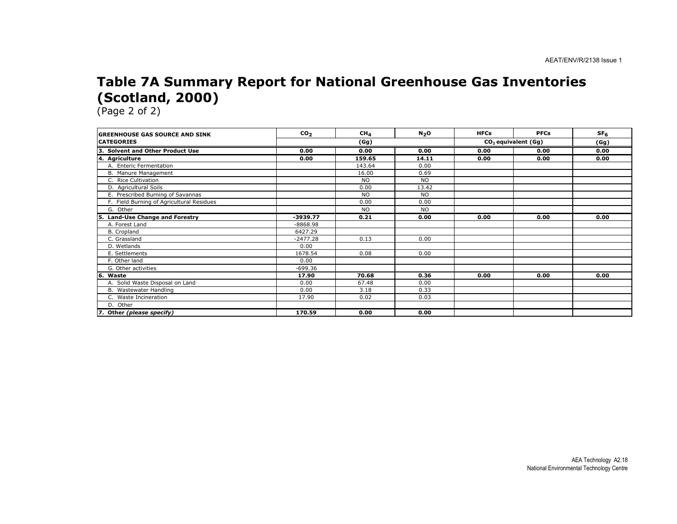#### Table 7A Summary Report for National Greenhouse Gas Inventories (Scotland, 2000)

| <b>GREENHOUSE GAS SOURCE AND SINK</b>     | CO <sub>2</sub> | CH <sub>4</sub> | N <sub>2</sub> O | <b>HFCs</b> | <b>PFCs</b>           | SF <sub>6</sub> |  |
|-------------------------------------------|-----------------|-----------------|------------------|-------------|-----------------------|-----------------|--|
| <b>CATEGORIES</b>                         | (Gg)            |                 |                  |             | $CO2$ equivalent (Gg) |                 |  |
| 3. Solvent and Other Product Use          | 0.00            | 0.00            | 0.00             | 0.00        | 0.00                  | 0.00            |  |
| 4. Agriculture                            | 0.00            | 159.65          | 14.11            | 0.00        | 0.00                  | 0.00            |  |
| A. Enteric Fermentation                   |                 | 143.64          | 0.00             |             |                       |                 |  |
| B. Manure Management                      |                 | 16.00           | 0.69             |             |                       |                 |  |
| C. Rice Cultivation                       |                 | <b>NO</b>       | NO.              |             |                       |                 |  |
| D. Agricultural Soils                     |                 | 0.00            | 13.42            |             |                       |                 |  |
| E. Prescribed Burning of Savannas         |                 | <b>NO</b>       | <b>NO</b>        |             |                       |                 |  |
| F. Field Burning of Agricultural Residues |                 | 0.00            | 0.00             |             |                       |                 |  |
| G. Other                                  |                 | <b>NO</b>       | <b>NO</b>        |             |                       |                 |  |
| Land-Use Change and Forestry<br>5.        | $-3939.77$      | 0.21            | 0.00             | 0.00        | 0.00                  | 0.00            |  |
| A. Forest Land                            | $-8868.98$      |                 |                  |             |                       |                 |  |
| B. Cropland                               | 6427.29         |                 |                  |             |                       |                 |  |
| C. Grassland                              | $-2477.28$      | 0.13            | 0.00             |             |                       |                 |  |
| D. Wetlands                               | 0.00            |                 |                  |             |                       |                 |  |
| E. Settlements                            | 1678.54         | 0.08            | 0.00             |             |                       |                 |  |
| F. Other land                             | 0.00            |                 |                  |             |                       |                 |  |
| G. Other activities                       | $-699.36$       |                 |                  |             |                       |                 |  |
| l6.<br>Waste                              | 17.90           | 70.68           | 0.36             | 0.00        | 0.00                  | 0.00            |  |
| A. Solid Waste Disposal on Land           | 0.00            | 67.48           | 0.00             |             |                       |                 |  |
| B. Wastewater Handling                    | 0.00            | 3.18            | 0.33             |             |                       |                 |  |
| C. Waste Incineration                     | 17.90           | 0.02            | 0.03             |             |                       |                 |  |
| D. Other                                  |                 |                 |                  |             |                       |                 |  |
| 7. Other (please specify)                 | 170.59          | 0.00            | 0.00             |             |                       |                 |  |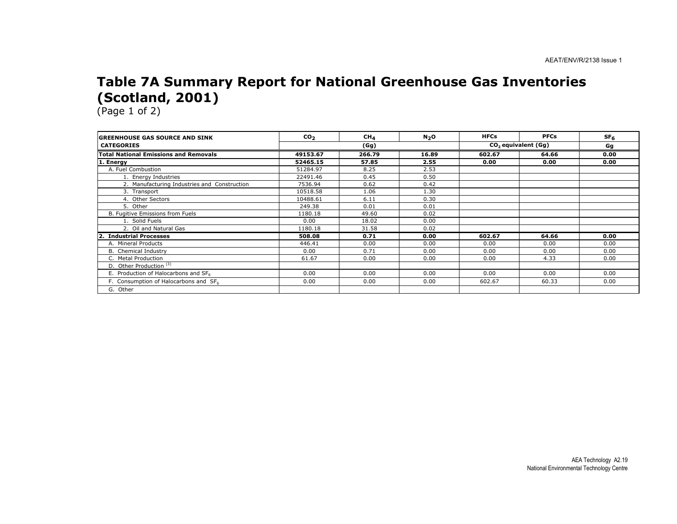#### Table 7A Summary Report for National Greenhouse Gas Inventories (Scotland, 2001)

| <b>GREENHOUSE GAS SOURCE AND SINK</b>             | CO <sub>2</sub> | CH <sub>4</sub> | N <sub>2</sub> O | <b>HFCs</b> | <b>PFCs</b>                     | SF <sub>6</sub> |
|---------------------------------------------------|-----------------|-----------------|------------------|-------------|---------------------------------|-----------------|
| <b>CATEGORIES</b>                                 |                 | (Gg)            |                  |             | CO <sub>2</sub> equivalent (Gq) |                 |
| <b>Total National Emissions and Removals</b>      | 49153.67        | 266.79          | 16.89            | 602.67      | 64.66                           | 0.00            |
| 1. Energy                                         | 52465.15        | 57.85           | 2.55             | 0.00        | 0.00                            | 0.00            |
| A. Fuel Combustion                                | 51284.97        | 8.25            | 2.53             |             |                                 |                 |
| 1. Energy Industries                              | 22491.46        | 0.45            | 0.50             |             |                                 |                 |
| 2. Manufacturing Industries and Construction      | 7536.94         | 0.62            | 0.42             |             |                                 |                 |
| 3. Transport                                      | 10518.58        | 1.06            | 1.30             |             |                                 |                 |
| 4. Other Sectors                                  | 10488.61        | 6.11            | 0.30             |             |                                 |                 |
| 5. Other                                          | 249.38          | 0.01            | 0.01             |             |                                 |                 |
| B. Fugitive Emissions from Fuels                  | 1180.18         | 49.60           | 0.02             |             |                                 |                 |
| 1. Solid Fuels                                    | 0.00            | 18.02           | 0.00             |             |                                 |                 |
| 2. Oil and Natural Gas                            | 1180.18         | 31.58           | 0.02             |             |                                 |                 |
| <b>Industrial Processes</b>                       | 508.08          | 0.71            | 0.00             | 602.67      | 64.66                           | 0.00            |
| A. Mineral Products                               | 446.41          | 0.00            | 0.00             | 0.00        | 0.00                            | 0.00            |
| <b>B.</b> Chemical Industry                       | 0.00            | 0.71            | 0.00             | 0.00        | 0.00                            | 0.00            |
| C. Metal Production                               | 61.67           | 0.00            | 0.00             | 0.00        | 4.33                            | 0.00            |
| D. Other Production <sup>(3)</sup>                |                 |                 |                  |             |                                 |                 |
| E. Production of Halocarbons and SF6              | 0.00            | 0.00            | 0.00             | 0.00        | 0.00                            | 0.00            |
| F. Consumption of Halocarbons and SF <sub>6</sub> | 0.00            | 0.00            | 0.00             | 602.67      | 60.33                           | 0.00            |
| G. Other                                          |                 |                 |                  |             |                                 |                 |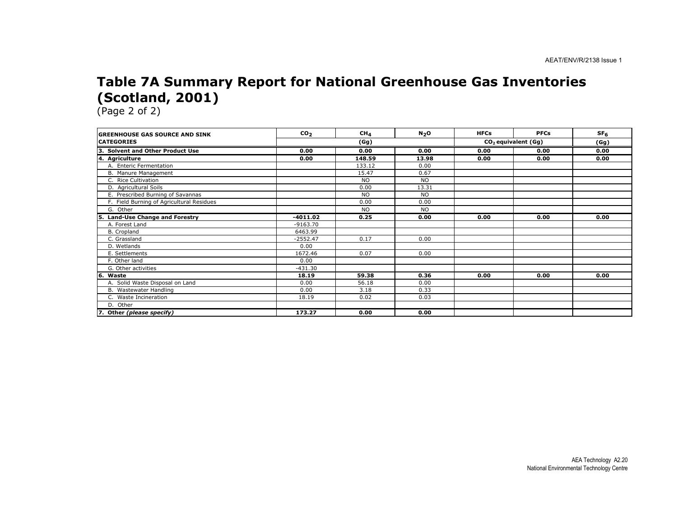#### Table 7A Summary Report for National Greenhouse Gas Inventories (Scotland, 2001)

| <b>GREENHOUSE GAS SOURCE AND SINK</b>     | CO <sub>2</sub> | CH <sub>4</sub> | N <sub>2</sub> O | <b>HFCs</b> | <b>PFCs</b>           | SF <sub>6</sub> |
|-------------------------------------------|-----------------|-----------------|------------------|-------------|-----------------------|-----------------|
| <b>CATEGORIES</b>                         | (Gg)            |                 |                  |             | $CO2$ equivalent (Gg) | (Gg)            |
| 3. Solvent and Other Product Use          | 0.00            | 0.00            | 0.00             | 0.00        | 0.00                  | 0.00            |
| 4. Agriculture                            | 0.00            | 148.59          | 13.98            | 0.00        | 0.00                  | 0.00            |
| A. Enteric Fermentation                   |                 | 133.12          | 0.00             |             |                       |                 |
| B. Manure Management                      |                 | 15.47           | 0.67             |             |                       |                 |
| C. Rice Cultivation                       |                 | <b>NO</b>       | <b>NO</b>        |             |                       |                 |
| D. Agricultural Soils                     |                 | 0.00            | 13.31            |             |                       |                 |
| E. Prescribed Burning of Savannas         |                 | <b>NO</b>       | <b>NO</b>        |             |                       |                 |
| F. Field Burning of Agricultural Residues |                 | 0.00            | 0.00             |             |                       |                 |
| G. Other                                  |                 | <b>NO</b>       | <b>NO</b>        |             |                       |                 |
| Land-Use Change and Forestry<br>5.        | $-4011.02$      | 0.25            | 0.00             | 0.00        | 0.00                  | 0.00            |
| A. Forest Land                            | $-9163.70$      |                 |                  |             |                       |                 |
| B. Cropland                               | 6463.99         |                 |                  |             |                       |                 |
| C. Grassland                              | $-2552.47$      | 0.17            | 0.00             |             |                       |                 |
| D. Wetlands                               | 0.00            |                 |                  |             |                       |                 |
| E. Settlements                            | 1672.46         | 0.07            | 0.00             |             |                       |                 |
| F. Other land                             | 0.00            |                 |                  |             |                       |                 |
| G. Other activities                       | $-431.30$       |                 |                  |             |                       |                 |
| l6.<br>Waste                              | 18.19           | 59.38           | 0.36             | 0.00        | 0.00                  | 0.00            |
| A. Solid Waste Disposal on Land           | 0.00            | 56.18           | 0.00             |             |                       |                 |
| B. Wastewater Handling                    | 0.00            | 3.18            | 0.33             |             |                       |                 |
| C. Waste Incineration                     | 18.19           | 0.02            | 0.03             |             |                       |                 |
| D. Other                                  |                 |                 |                  |             |                       |                 |
| 7. Other (please specify)                 | 173.27          | 0.00            | 0.00             |             |                       |                 |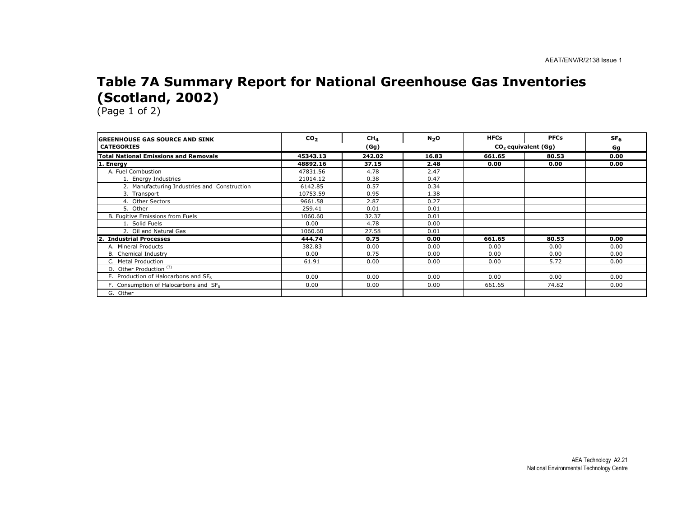#### Table 7A Summary Report for National Greenhouse Gas Inventories (Scotland, 2002)

| <b>GREENHOUSE GAS SOURCE AND SINK</b>            | CO <sub>2</sub> | CH <sub>4</sub> | N <sub>2</sub> O | <b>HFCs</b> | <b>PFCs</b>           | SF <sub>6</sub> |
|--------------------------------------------------|-----------------|-----------------|------------------|-------------|-----------------------|-----------------|
| <b>CATEGORIES</b>                                |                 | (Gg)            |                  |             | $CO2$ equivalent (Gg) |                 |
| <b>Total National Emissions and Removals</b>     | 45343.13        | 242.02          | 16.83            | 661.65      | 80.53                 | 0.00            |
| 1. Energy                                        | 48892.16        | 37.15           | 2.48             | 0.00        | 0.00                  | 0.00            |
| A. Fuel Combustion                               | 47831.56        | 4.78            | 2.47             |             |                       |                 |
| 1. Energy Industries                             | 21014.12        | 0.38            | 0.47             |             |                       |                 |
| 2. Manufacturing Industries and Construction     | 6142.85         | 0.57            | 0.34             |             |                       |                 |
| 3. Transport                                     | 10753.59        | 0.95            | 1.38             |             |                       |                 |
| 4. Other Sectors                                 | 9661.58         | 2.87            | 0.27             |             |                       |                 |
| 5. Other                                         | 259.41          | 0.01            | 0.01             |             |                       |                 |
| B. Fugitive Emissions from Fuels                 | 1060.60         | 32.37           | 0.01             |             |                       |                 |
| 1. Solid Fuels                                   | 0.00            | 4.78            | 0.00             |             |                       |                 |
| 2. Oil and Natural Gas                           | 1060.60         | 27.58           | 0.01             |             |                       |                 |
| <b>Industrial Processes</b>                      | 444.74          | 0.75            | 0.00             | 661.65      | 80.53                 | 0.00            |
| A. Mineral Products                              | 382.83          | 0.00            | 0.00             | 0.00        | 0.00                  | 0.00            |
| <b>B.</b> Chemical Industry                      | 0.00            | 0.75            | 0.00             | 0.00        | 0.00                  | 0.00            |
| C. Metal Production                              | 61.91           | 0.00            | 0.00             | 0.00        | 5.72                  | 0.00            |
| D. Other Production <sup>(3)</sup>               |                 |                 |                  |             |                       |                 |
| E. Production of Halocarbons and SF <sub>6</sub> | 0.00            | 0.00            | 0.00             | 0.00        | 0.00                  | 0.00            |
| F. Consumption of Halocarbons and SF6            | 0.00            | 0.00            | 0.00             | 661.65      | 74.82                 | 0.00            |
| G. Other                                         |                 |                 |                  |             |                       |                 |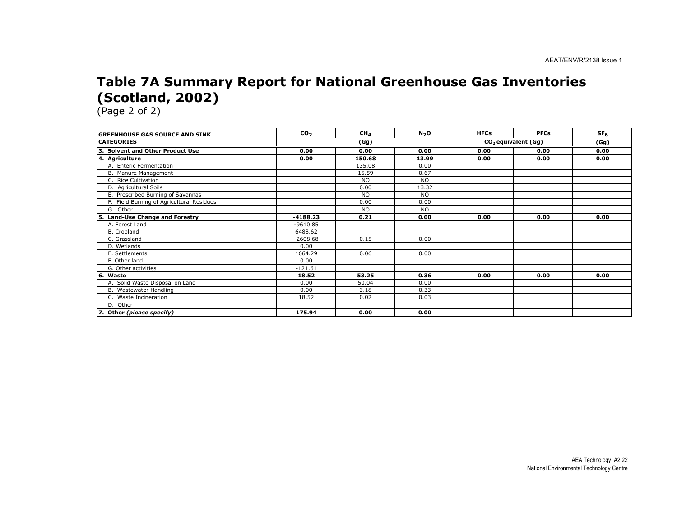#### Table 7A Summary Report for National Greenhouse Gas Inventories (Scotland, 2002)

| <b>GREENHOUSE GAS SOURCE AND SINK</b>     | CO <sub>2</sub> | CH <sub>4</sub> | N <sub>2</sub> O | <b>HFCs</b> | <b>PFCs</b>           | SF <sub>6</sub> |  |
|-------------------------------------------|-----------------|-----------------|------------------|-------------|-----------------------|-----------------|--|
| <b>CATEGORIES</b>                         | (Gg)            |                 |                  |             | $CO2$ equivalent (Gg) |                 |  |
| 3. Solvent and Other Product Use          | 0.00            | 0.00            | 0.00             | 0.00        | 0.00                  | 0.00            |  |
| 4. Agriculture                            | 0.00            | 150.68          | 13.99            | 0.00        | 0.00                  | 0.00            |  |
| A. Enteric Fermentation                   |                 | 135.08          | 0.00             |             |                       |                 |  |
| B. Manure Management                      |                 | 15.59           | 0.67             |             |                       |                 |  |
| C. Rice Cultivation                       |                 | <b>NO</b>       | <b>NO</b>        |             |                       |                 |  |
| D. Agricultural Soils                     |                 | 0.00            | 13.32            |             |                       |                 |  |
| E. Prescribed Burning of Savannas         |                 | <b>NO</b>       | <b>NO</b>        |             |                       |                 |  |
| F. Field Burning of Agricultural Residues |                 | 0.00            | 0.00             |             |                       |                 |  |
| G. Other                                  |                 | <b>NO</b>       | <b>NO</b>        |             |                       |                 |  |
| Land-Use Change and Forestry<br>5.        | $-4188.23$      | 0.21            | 0.00             | 0.00        | 0.00                  | 0.00            |  |
| A. Forest Land                            | $-9610.85$      |                 |                  |             |                       |                 |  |
| B. Cropland                               | 6488.62         |                 |                  |             |                       |                 |  |
| C. Grassland                              | $-2608.68$      | 0.15            | 0.00             |             |                       |                 |  |
| D. Wetlands                               | 0.00            |                 |                  |             |                       |                 |  |
| E. Settlements                            | 1664.29         | 0.06            | 0.00             |             |                       |                 |  |
| F. Other land                             | 0.00            |                 |                  |             |                       |                 |  |
| G. Other activities                       | $-121.61$       |                 |                  |             |                       |                 |  |
| l6.<br>Waste                              | 18.52           | 53.25           | 0.36             | 0.00        | 0.00                  | 0.00            |  |
| A. Solid Waste Disposal on Land           | 0.00            | 50.04           | 0.00             |             |                       |                 |  |
| B. Wastewater Handling                    | 0.00            | 3.18            | 0.33             |             |                       |                 |  |
| C. Waste Incineration                     | 18.52           | 0.02            | 0.03             |             |                       |                 |  |
| D. Other                                  |                 |                 |                  |             |                       |                 |  |
| 7. Other (please specify)                 | 175.94          | 0.00            | 0.00             |             |                       |                 |  |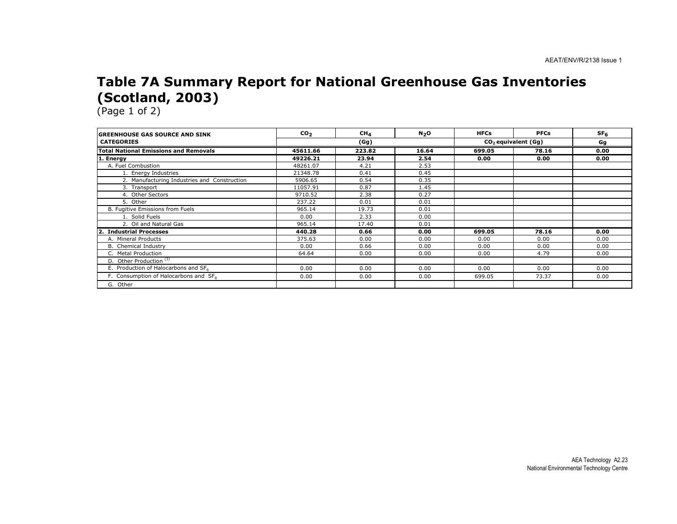#### Table 7A Summary Report for National Greenhouse Gas Inventories (Scotland, 2003)

| <b>GREENHOUSE GAS SOURCE AND SINK</b>            | CO <sub>2</sub> | CH <sub>4</sub> | N <sub>2</sub> O | <b>HFCs</b> | <b>PFCs</b>           | SF <sub>6</sub> |
|--------------------------------------------------|-----------------|-----------------|------------------|-------------|-----------------------|-----------------|
| <b>CATEGORIES</b>                                |                 | (Gg)            |                  |             | $CO2$ equivalent (Gg) |                 |
| <b>Total National Emissions and Removals</b>     | 45611.66        | 223.82          | 16.64            | 699.05      | 78.16                 | 0.00            |
| 1. Energy                                        | 49226.21        | 23.94           | 2.54             | 0.00        | 0.00                  | 0.00            |
| A. Fuel Combustion                               | 48261.07        | 4.21            | 2.53             |             |                       |                 |
| 1. Energy Industries                             | 21348.78        | 0.41            | 0.45             |             |                       |                 |
| 2. Manufacturing Industries and Construction     | 5906.65         | 0.54            | 0.35             |             |                       |                 |
| 3. Transport                                     | 11057.91        | 0.87            | 1.45             |             |                       |                 |
| 4. Other Sectors                                 | 9710.52         | 2.38            | 0.27             |             |                       |                 |
| 5. Other                                         | 237.22          | 0.01            | 0.01             |             |                       |                 |
| B. Fugitive Emissions from Fuels                 | 965.14          | 19.73           | 0.01             |             |                       |                 |
| 1. Solid Fuels                                   | 0.00            | 2.33            | 0.00             |             |                       |                 |
| 2. Oil and Natural Gas                           | 965.14          | 17.40           | 0.01             |             |                       |                 |
| <b>Industrial Processes</b>                      | 440.28          | 0.66            | 0.00             | 699.05      | 78.16                 | 0.00            |
| A. Mineral Products                              | 375.63          | 0.00            | 0.00             | 0.00        | 0.00                  | 0.00            |
| B. Chemical Industry                             | 0.00            | 0.66            | 0.00             | 0.00        | 0.00                  | 0.00            |
| C. Metal Production                              | 64.64           | 0.00            | 0.00             | 0.00        | 4.79                  | 0.00            |
| D. Other Production <sup>(3)</sup>               |                 |                 |                  |             |                       |                 |
| E. Production of Halocarbons and SF <sub>6</sub> | 0.00            | 0.00            | 0.00             | 0.00        | 0.00                  | 0.00            |
| F. Consumption of Halocarbons and SF6            | 0.00            | 0.00            | 0.00             | 699.05      | 73.37                 | 0.00            |
| G. Other                                         |                 |                 |                  |             |                       |                 |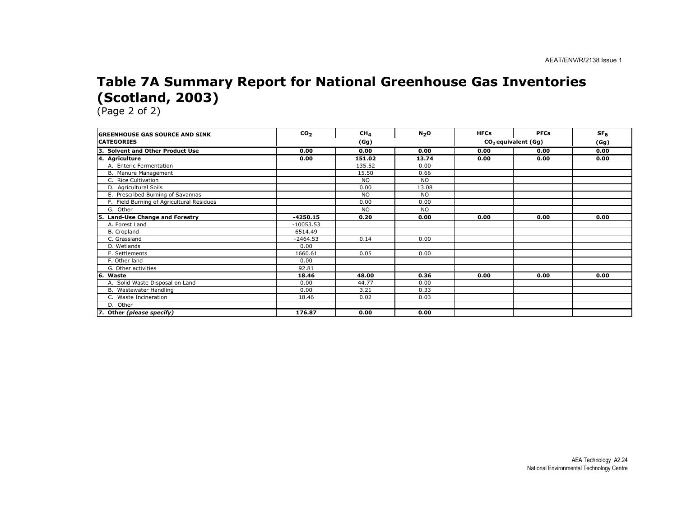#### Table 7A Summary Report for National Greenhouse Gas Inventories (Scotland, 2003)

| <b>GREENHOUSE GAS SOURCE AND SINK</b>     | CO <sub>2</sub> | CH <sub>4</sub> | N <sub>2</sub> 0 | <b>HFCs</b> | <b>PFCs</b>           | SF <sub>6</sub> |  |
|-------------------------------------------|-----------------|-----------------|------------------|-------------|-----------------------|-----------------|--|
| <b>CATEGORIES</b>                         |                 | (Gg)            |                  |             | $CO2$ equivalent (Gg) |                 |  |
| 3. Solvent and Other Product Use          | 0.00            | 0.00            | 0.00             | 0.00        | 0.00                  | 0.00            |  |
| 4. Agriculture                            | 0.00            | 151.02          | 13.74            | 0.00        | 0.00                  | 0.00            |  |
| A. Enteric Fermentation                   |                 | 135.52          | 0.00             |             |                       |                 |  |
| B. Manure Management                      |                 | 15.50           | 0.66             |             |                       |                 |  |
| C. Rice Cultivation                       |                 | <b>NO</b>       | <b>NO</b>        |             |                       |                 |  |
| D. Agricultural Soils                     |                 | 0.00            | 13.08            |             |                       |                 |  |
| E. Prescribed Burning of Savannas         |                 | <b>NO</b>       | <b>NO</b>        |             |                       |                 |  |
| F. Field Burning of Agricultural Residues |                 | 0.00            | 0.00             |             |                       |                 |  |
| G. Other                                  |                 | <b>NO</b>       | <b>NO</b>        |             |                       |                 |  |
| 5. Land-Use Change and Forestry           | $-4250.15$      | 0.20            | 0.00             | 0.00        | 0.00                  | 0.00            |  |
| A. Forest Land                            | $-10053.53$     |                 |                  |             |                       |                 |  |
| B. Cropland                               | 6514.49         |                 |                  |             |                       |                 |  |
| C. Grassland                              | $-2464.53$      | 0.14            | 0.00             |             |                       |                 |  |
| D. Wetlands                               | 0.00            |                 |                  |             |                       |                 |  |
| E. Settlements                            | 1660.61         | 0.05            | 0.00             |             |                       |                 |  |
| F. Other land                             | 0.00            |                 |                  |             |                       |                 |  |
| G. Other activities                       | 92.81           |                 |                  |             |                       |                 |  |
| 6. Waste                                  | 18.46           | 48.00           | 0.36             | 0.00        | 0.00                  | 0.00            |  |
| A. Solid Waste Disposal on Land           | 0.00            | 44.77           | 0.00             |             |                       |                 |  |
| B. Wastewater Handling                    | 0.00            | 3.21            | 0.33             |             |                       |                 |  |
| C. Waste Incineration                     | 18.46           | 0.02            | 0.03             |             |                       |                 |  |
| D. Other                                  |                 |                 |                  |             |                       |                 |  |
| 7. Other (please specify)                 | 176.87          | 0.00            | 0.00             |             |                       |                 |  |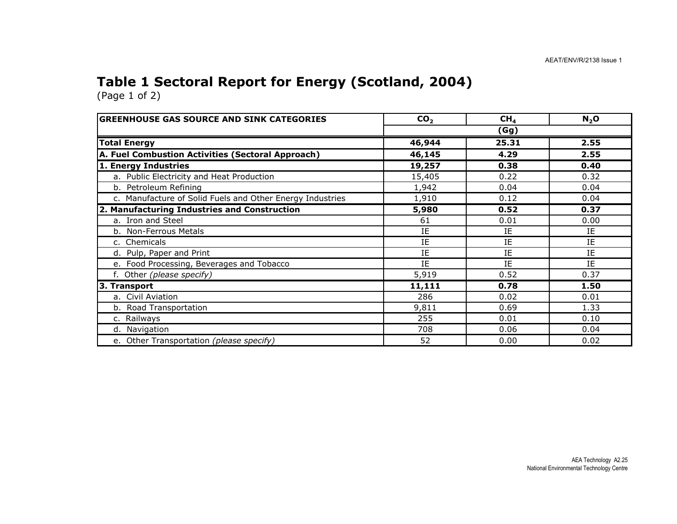## Table 1 Sectoral Report for Energy (Scotland, 2004)

| <b>GREENHOUSE GAS SOURCE AND SINK CATEGORIES</b>          | CO <sub>2</sub> | CH <sub>4</sub> | $N_2$ O |  |  |
|-----------------------------------------------------------|-----------------|-----------------|---------|--|--|
|                                                           |                 | (Gg)            |         |  |  |
| <b>Total Energy</b>                                       | 46,944          | 25.31           | 2.55    |  |  |
| A. Fuel Combustion Activities (Sectoral Approach)         | 46,145          | 4.29            | 2.55    |  |  |
| 1. Energy Industries                                      | 19,257          | 0.38            | 0.40    |  |  |
| a. Public Electricity and Heat Production                 | 15,405          | 0.22            | 0.32    |  |  |
| b. Petroleum Refining                                     | 1,942           | 0.04            | 0.04    |  |  |
| c. Manufacture of Solid Fuels and Other Energy Industries | 1,910           | 0.12            | 0.04    |  |  |
| 2. Manufacturing Industries and Construction              | 5,980           | 0.52            | 0.37    |  |  |
| a. Iron and Steel                                         | 61              | 0.01            | 0.00    |  |  |
| b. Non-Ferrous Metals                                     | ΙE              | IE              | IE      |  |  |
| c. Chemicals                                              | IE              | IE              | IE      |  |  |
| d. Pulp, Paper and Print                                  | IE              | IE              | IE.     |  |  |
| e. Food Processing, Beverages and Tobacco                 | IE              | IE              | IE      |  |  |
| f. Other (please specify)                                 | 5,919           | 0.52            | 0.37    |  |  |
| 3. Transport                                              | 11,111          | 0.78            | 1.50    |  |  |
| a. Civil Aviation                                         | 286             | 0.02            | 0.01    |  |  |
| b. Road Transportation                                    | 9,811           | 0.69            | 1.33    |  |  |
| c. Railways                                               | 255             | 0.01            | 0.10    |  |  |
| d. Navigation                                             | 708             | 0.06            | 0.04    |  |  |
| e. Other Transportation (please specify)                  | 52              | 0.00            | 0.02    |  |  |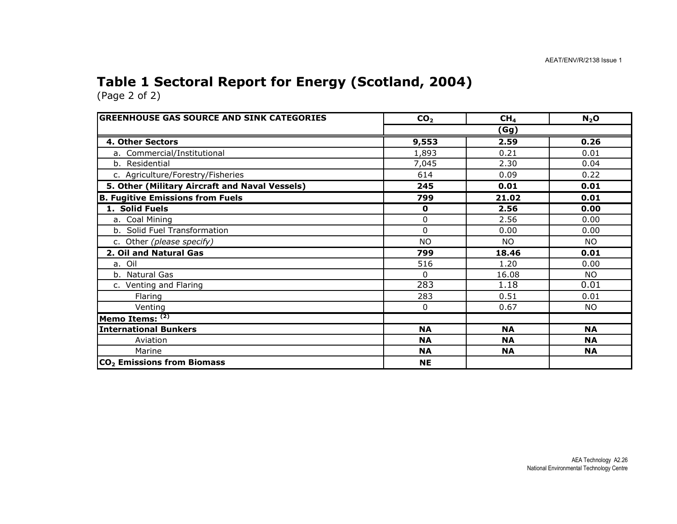## Table 1 Sectoral Report for Energy (Scotland, 2004)

| <b>GREENHOUSE GAS SOURCE AND SINK CATEGORIES</b> | CO <sub>2</sub> | CH <sub>4</sub> | $N_2$ O   |  |  |
|--------------------------------------------------|-----------------|-----------------|-----------|--|--|
|                                                  | (Gg)            |                 |           |  |  |
| 4. Other Sectors                                 | 9,553           | 2.59            | 0.26      |  |  |
| a. Commercial/Institutional                      | 1,893           | 0.21            | 0.01      |  |  |
| b. Residential                                   | 7,045           | 2.30            | 0.04      |  |  |
| c. Agriculture/Forestry/Fisheries                | 614             | 0.09            | 0.22      |  |  |
| 5. Other (Military Aircraft and Naval Vessels)   | 245             | 0.01            | 0.01      |  |  |
| <b>B. Fugitive Emissions from Fuels</b>          | 799             | 21.02           | 0.01      |  |  |
| 1. Solid Fuels                                   | $\mathbf 0$     | 2.56            | 0.00      |  |  |
| a. Coal Mining                                   | 0               | 2.56            | 0.00      |  |  |
| b. Solid Fuel Transformation                     | $\Omega$        | 0.00            | 0.00      |  |  |
| c. Other (please specify)                        | <b>NO</b>       | <b>NO</b>       | <b>NO</b> |  |  |
| 2. Oil and Natural Gas                           | 799             | 18.46           | 0.01      |  |  |
| a. Oil                                           | 516             | 1.20            | 0.00      |  |  |
| b. Natural Gas                                   | $\Omega$        | 16.08           | NO.       |  |  |
| c. Venting and Flaring                           | 283             | 1.18            | 0.01      |  |  |
| Flaring                                          | 283             | 0.51            | 0.01      |  |  |
| Venting                                          | 0               | 0.67            | NO.       |  |  |
| Memo Items: (2)                                  |                 |                 |           |  |  |
| <b>International Bunkers</b>                     | <b>NA</b>       | <b>NA</b>       | <b>NA</b> |  |  |
| Aviation                                         | <b>NA</b>       | <b>NA</b>       | <b>NA</b> |  |  |
| Marine                                           | <b>NA</b>       | <b>NA</b>       | <b>NA</b> |  |  |
| CO <sub>2</sub> Emissions from Biomass           | <b>NE</b>       |                 |           |  |  |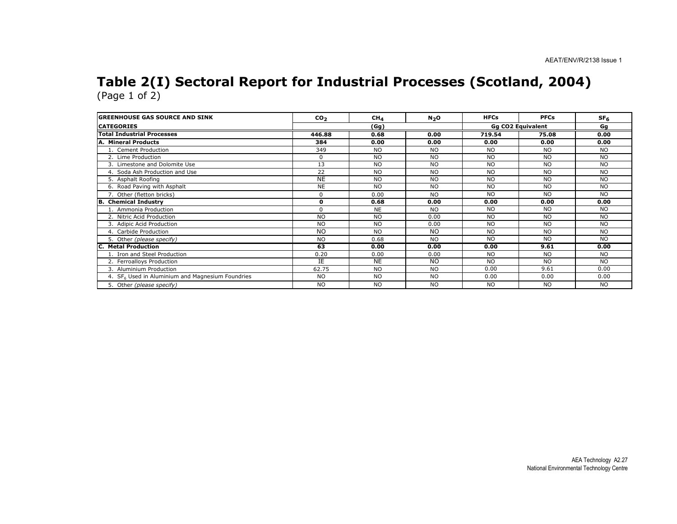# Table 2(I) Sectoral Report for Industrial Processes (Scotland, 2004) (Page 1 of 2)

| <b>GREENHOUSE GAS SOURCE AND SINK</b>                        | CO <sub>2</sub> | CH <sub>4</sub> | N <sub>2</sub> O | <b>HFCs</b>              | <b>PFCs</b> | SF <sub>6</sub> |
|--------------------------------------------------------------|-----------------|-----------------|------------------|--------------------------|-------------|-----------------|
| <b>CATEGORIES</b>                                            |                 | (Gg)            |                  | <b>Gg CO2 Equivalent</b> |             | Gg              |
| <b>Total Industrial Processes</b>                            | 446.88          | 0.68            | 0.00             | 719.54                   | 75.08       | 0.00            |
| A. Mineral Products                                          | 384             | 0.00            | 0.00             | 0.00                     | 0.00        | 0.00            |
| 1. Cement Production                                         | 349             | N <sub>O</sub>  | <b>NO</b>        | <b>NO</b>                | NO.         | <b>NO</b>       |
| 2. Lime Production                                           | $\Omega$        | <b>NO</b>       | <b>NO</b>        | <b>NO</b>                | <b>NO</b>   | <b>NO</b>       |
| 3. Limestone and Dolomite Use                                | 13              | N <sub>O</sub>  | NO.              | <b>NO</b>                | NO.         | <b>NO</b>       |
| 4. Soda Ash Production and Use                               | 22              | <b>NO</b>       | NO.              | <b>NO</b>                | NO.         | <b>NO</b>       |
| 5. Asphalt Roofing                                           | <b>NE</b>       | <b>NO</b>       | <b>NO</b>        | <b>NO</b>                | <b>NO</b>   | <b>NO</b>       |
| 6. Road Paving with Asphalt                                  | <b>NE</b>       | <b>NO</b>       | <b>NO</b>        | <b>NO</b>                | NO.         | <b>NO</b>       |
| 7. Other (fletton bricks)                                    | $\Omega$        | 0.00            | <b>NO</b>        | <b>NO</b>                | <b>NO</b>   | <b>NO</b>       |
| <b>B.</b> Chemical Industry                                  | $\mathbf{o}$    | 0.68            | 0.00             | 0.00                     | 0.00        | 0.00            |
| 1. Ammonia Production                                        | $\Omega$        | <b>NE</b>       | <b>NO</b>        | <b>NO</b>                | NO.         | <b>NO</b>       |
| 2. Nitric Acid Production                                    | <b>NO</b>       | <b>NO</b>       | 0.00             | <b>NO</b>                | <b>NO</b>   | <b>NO</b>       |
| 3. Adipic Acid Production                                    | <b>NO</b>       | <b>NO</b>       | 0.00             | <b>NO</b>                | <b>NO</b>   | <b>NO</b>       |
| 4. Carbide Production                                        | <b>NO</b>       | <b>NO</b>       | <b>NO</b>        | <b>NO</b>                | <b>NO</b>   | <b>NO</b>       |
| 5. Other (please specify)                                    | <b>NO</b>       | 0.68            | <b>NO</b>        | <b>NO</b>                | <b>NO</b>   | <b>NO</b>       |
| <b>C. Metal Production</b>                                   | 63              | 0.00            | 0.00             | 0.00                     | 9.61        | 0.00            |
| 1. Iron and Steel Production                                 | 0.20            | 0.00            | 0.00             | <b>NO</b>                | <b>NO</b>   | <b>NO</b>       |
| 2. Ferroalloys Production                                    | IE              | <b>NE</b>       | <b>NO</b>        | <b>NO</b>                | <b>NO</b>   | <b>NO</b>       |
| 3. Aluminium Production                                      | 62.75           | <b>NO</b>       | <b>NO</b>        | 0.00                     | 9.61        | 0.00            |
| 4. SF <sub>6</sub> Used in Aluminium and Magnesium Foundries | <b>NO</b>       | <b>NO</b>       | <b>NO</b>        | 0.00                     | 0.00        | 0.00            |
| 5. Other (please specify)                                    | <b>NO</b>       | <b>NO</b>       | <b>NO</b>        | <b>NO</b>                | <b>NO</b>   | <b>NO</b>       |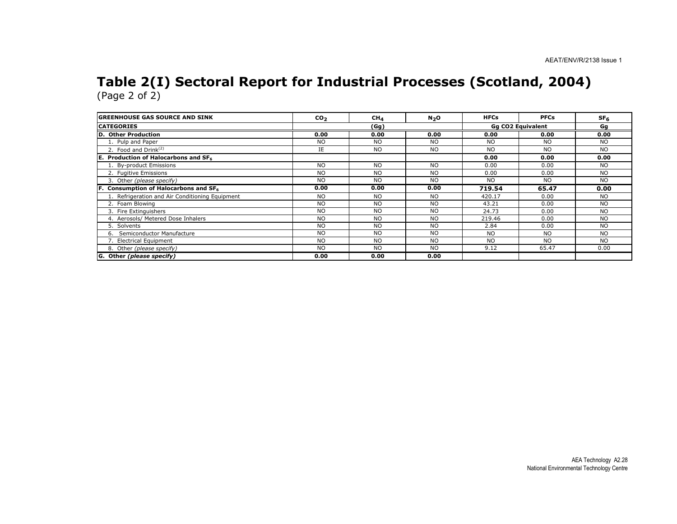# Table 2(I) Sectoral Report for Industrial Processes (Scotland, 2004) (Page 2 of 2)

| <b>IGREENHOUSE GAS SOURCE AND SINK</b>          | CO <sub>2</sub> | CH <sub>4</sub> | N <sub>2</sub> O | <b>HFCs</b>       | <b>PFCs</b> | SF <sub>6</sub> |
|-------------------------------------------------|-----------------|-----------------|------------------|-------------------|-------------|-----------------|
| <b>ICATEGORIES</b>                              | (Gg)            |                 |                  | Gq CO2 Equivalent | Gg          |                 |
| D. Other Production                             | 0.00            | 0.00            | 0.00             | 0.00              | 0.00        | 0.00            |
| 1. Pulp and Paper                               | <b>NO</b>       | <b>NO</b>       | <b>NO</b>        | <b>NO</b>         | <b>NO</b>   | <b>NO</b>       |
| 2. Food and Drink $(2)$                         | IE              | <b>NO</b>       | <b>NO</b>        | <b>NO</b>         | <b>NO</b>   | <b>NO</b>       |
| E. Production of Halocarbons and SF6            |                 |                 |                  | 0.00              | 0.00        | 0.00            |
| 1. By-product Emissions                         | <b>NO</b>       | <b>NO</b>       | NO.              | 0.00              | 0.00        | NO.             |
| 2. Fugitive Emissions                           | <b>NO</b>       | <b>NO</b>       | <b>NO</b>        | 0.00              | 0.00        | NO.             |
| 3. Other (please specify)                       | <b>NO</b>       | <b>NO</b>       | <b>NO</b>        | NO.               | NO.         | <b>NO</b>       |
| Consumption of Halocarbons and SF <sub>6</sub>  | 0.00            | 0.00            | 0.00             | 719.54            | 65.47       | 0.00            |
| 1. Refrigeration and Air Conditioning Equipment | <b>NO</b>       | <b>NO</b>       | <b>NO</b>        | 420.17            | 0.00        | <b>NO</b>       |
| 2. Foam Blowing                                 | <b>NO</b>       | <b>NO</b>       | <b>NO</b>        | 43.21             | 0.00        | <b>NO</b>       |
| 3. Fire Extinguishers                           | <b>NO</b>       | <b>NO</b>       | <b>NO</b>        | 24.73             | 0.00        | <b>NO</b>       |
| 4. Aerosols/ Metered Dose Inhalers              | <b>NO</b>       | <b>NO</b>       | <b>NO</b>        | 219.46            | 0.00        | <b>NO</b>       |
| 5. Solvents                                     | <b>NO</b>       | <b>NO</b>       | <b>NO</b>        | 2.84              | 0.00        | <b>NO</b>       |
| 6. Semiconductor Manufacture                    | <b>NO</b>       | <b>NO</b>       | <b>NO</b>        | <b>NO</b>         | <b>NO</b>   | <b>NO</b>       |
| 7. Electrical Equipment                         | <b>NO</b>       | <b>NO</b>       | <b>NO</b>        | <b>NO</b>         | <b>NO</b>   | <b>NO</b>       |
| 8. Other (please specify)                       | <b>NO</b>       | <b>NO</b>       | N <sub>O</sub>   | 9.12              | 65.47       | 0.00            |
| G. Other (please specify)                       | 0.00            | 0.00            | 0.00             |                   |             |                 |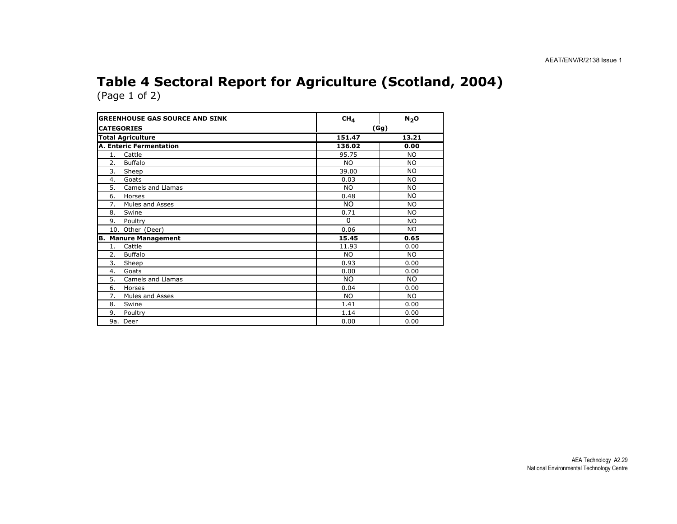#### Table 4 Sectoral Report for Agriculture (Scotland, 2004)(Page 1 of 2)

| <b>GREENHOUSE GAS SOURCE AND SINK</b> | CH <sub>4</sub> | $N_2$ O   |
|---------------------------------------|-----------------|-----------|
| <b>CATEGORIES</b>                     | (Gg)            |           |
| <b>Total Agriculture</b>              | 151.47          | 13.21     |
| <b>A. Enteric Fermentation</b>        | 136.02          | 0.00      |
| Cattle<br>1.                          | 95.75           | <b>NO</b> |
| 2.<br><b>Buffalo</b>                  | <b>NO</b>       | <b>NO</b> |
| 3.<br>Sheep                           | 39.00           | <b>NO</b> |
| Goats<br>4.                           | 0.03            | NO.       |
| 5.<br><b>Camels and Llamas</b>        | <b>NO</b>       | <b>NO</b> |
| 6.<br>Horses                          | 0.48            | NO.       |
| Mules and Asses<br>7.                 | <b>NO</b>       | NO.       |
| 8.<br>Swine                           | 0.71            | <b>NO</b> |
| 9.<br>Poultry                         | $\Omega$        | NO.       |
| 10. Other (Deer)                      | 0.06            | <b>NO</b> |
| <b>B. Manure Management</b>           | 15.45           | 0.65      |
| Cattle<br>1.                          | 11.93           | 0.00      |
| 2.<br><b>Buffalo</b>                  | <b>NO</b>       | <b>NO</b> |
| 3.<br>Sheep                           | 0.93            | 0.00      |
| 4.<br>Goats                           | 0.00            | 0.00      |
| 5.<br>Camels and Llamas               | <b>NO</b>       | <b>NO</b> |
| 6.<br>Horses                          | 0.04            | 0.00      |
| Mules and Asses<br>7.                 | NO.             | NO.       |
| Swine<br>8.                           | 1.41            | 0.00      |
| 9.<br>Poultry                         | 1.14            | 0.00      |
| 9a. Deer                              | 0.00            | 0.00      |

AEA Technology A2.29 National Environmental Technology Centre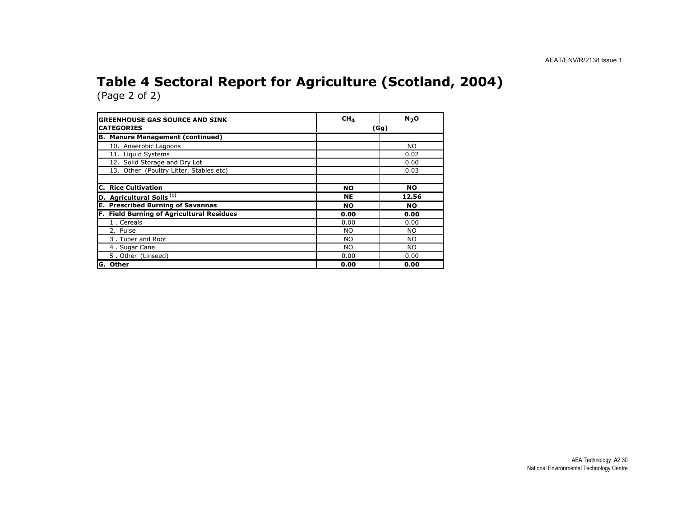#### Table 4 Sectoral Report for Agriculture (Scotland, 2004)(Page 2 of 2)

| <b>GREENHOUSE GAS SOURCE AND SINK</b>       | CH <sub>4</sub> | N <sub>2</sub> O |  |  |
|---------------------------------------------|-----------------|------------------|--|--|
| <b>CATEGORIES</b>                           | (Gg)            |                  |  |  |
| <b>B. Manure Management (continued)</b>     |                 |                  |  |  |
| 10. Anaerobic Lagoons                       |                 | NO.              |  |  |
| 11. Liquid Systems                          |                 | 0.02             |  |  |
| 12. Solid Storage and Dry Lot               |                 | 0.60             |  |  |
| 13. Other (Poultry Litter, Stables etc)     |                 | 0.03             |  |  |
|                                             |                 |                  |  |  |
| <b>C. Rice Cultivation</b>                  | <b>NO</b>       | NO               |  |  |
| D. Agricultural Soils <sup>(1)</sup>        | <b>NE</b>       | 12.56            |  |  |
| <b>Prescribed Burning of Savannas</b><br>Е. | <b>NO</b>       | NO               |  |  |
| F. Field Burning of Agricultural Residues   | 0.00            | 0.00             |  |  |
| 1. Cereals                                  | 0.00            | 0.00             |  |  |
| 2. Pulse                                    | NO.             | NO.              |  |  |
| 3. Tuber and Root                           | NO.             | <b>NO</b>        |  |  |
| 4. Sugar Cane                               | NO.             | NO.              |  |  |
| 5. Other (Linseed)                          | 0.00            | 0.00             |  |  |
| G. Other                                    | 0.00            | 0.00             |  |  |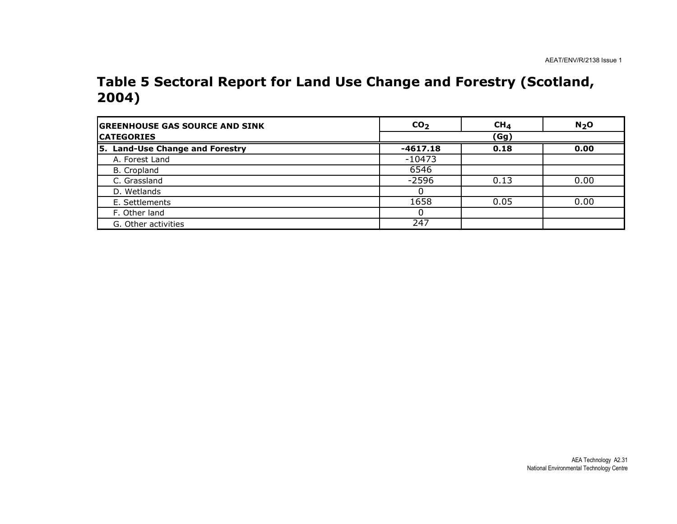#### Table 5 Sectoral Report for Land Use Change and Forestry (Scotland, 2004)

| <b>GREENHOUSE GAS SOURCE AND SINK</b> | CO <sub>2</sub> | $CH_{4}$ | N <sub>2</sub> O |
|---------------------------------------|-----------------|----------|------------------|
| <b>CATEGORIES</b>                     |                 | (Gg)     |                  |
| 5. Land-Use Change and Forestry       | $-4617.18$      | 0.18     | 0.00             |
| A. Forest Land                        | $-10473$        |          |                  |
| B. Cropland                           | 6546            |          |                  |
| C. Grassland                          | $-2596$         | 0.13     | 0.00             |
| D. Wetlands                           |                 |          |                  |
| E. Settlements                        | 1658            | 0.05     | 0.00             |
| F. Other land                         |                 |          |                  |
| G. Other activities                   | 247             |          |                  |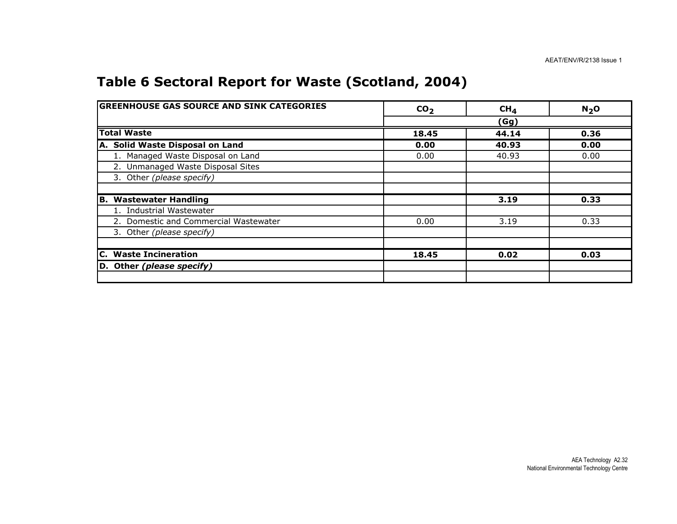## Table 6 Sectoral Report for Waste (Scotland, 2004)

| <b>GREENHOUSE GAS SOURCE AND SINK CATEGORIES</b> | CO <sub>2</sub> | CH <sub>4</sub> | N <sub>2</sub> O |
|--------------------------------------------------|-----------------|-----------------|------------------|
|                                                  |                 | (Gg)            |                  |
| <b>Total Waste</b>                               | 18.45           | 44.14           | 0.36             |
| A. Solid Waste Disposal on Land                  | 0.00            | 40.93           | 0.00             |
| 1. Managed Waste Disposal on Land                | 0.00            | 40.93           | 0.00             |
| 2. Unmanaged Waste Disposal Sites                |                 |                 |                  |
| 3. Other (please specify)                        |                 |                 |                  |
|                                                  |                 |                 |                  |
| <b>Wastewater Handling</b><br>IB.                |                 | 3.19            | 0.33             |
| 1. Industrial Wastewater                         |                 |                 |                  |
| 2. Domestic and Commercial Wastewater            | 0.00            | 3.19            | 0.33             |
| 3. Other (please specify)                        |                 |                 |                  |
|                                                  |                 |                 |                  |
| C. Waste Incineration                            | 18.45           | 0.02            | 0.03             |
| D. Other (please specify)                        |                 |                 |                  |
|                                                  |                 |                 |                  |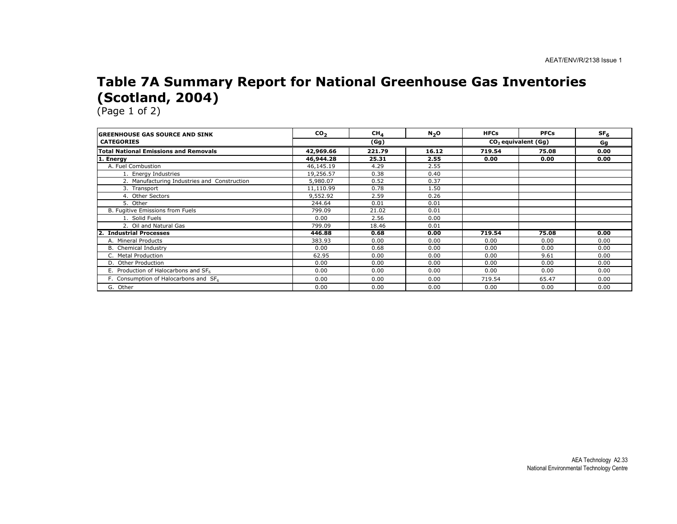#### Table 7A Summary Report for National Greenhouse Gas Inventories (Scotland, 2004)

(Page 1 of 2)

nia.

| <b>IGREENHOUSE GAS SOURCE AND SINK</b>       | CO <sub>2</sub> | CH <sub>4</sub> | N <sub>2</sub> O | <b>HFCs</b> | <b>PFCs</b>                     | SF <sub>6</sub> |
|----------------------------------------------|-----------------|-----------------|------------------|-------------|---------------------------------|-----------------|
| <b>CATEGORIES</b>                            |                 | (Gg)            |                  |             | CO <sub>2</sub> equivalent (Gg) |                 |
| <b>Total National Emissions and Removals</b> | 42,969.66       | 221.79          | 16.12            | 719.54      | 75.08                           | 0.00            |
| 1. Energy                                    | 46,944.28       | 25.31           | 2.55             | 0.00        | 0.00                            | 0.00            |
| A. Fuel Combustion                           | 46,145.19       | 4.29            | 2.55             |             |                                 |                 |
| 1. Energy Industries                         | 19,256.57       | 0.38            | 0.40             |             |                                 |                 |
| 2. Manufacturing Industries and Construction | 5,980.07        | 0.52            | 0.37             |             |                                 |                 |
| 3. Transport                                 | 11,110.99       | 0.78            | 1.50             |             |                                 |                 |
| 4. Other Sectors                             | 9,552.92        | 2.59            | 0.26             |             |                                 |                 |
| 5. Other                                     | 244.64          | 0.01            | 0.01             |             |                                 |                 |
| B. Fugitive Emissions from Fuels             | 799.09          | 21.02           | 0.01             |             |                                 |                 |
| 1. Solid Fuels                               | 0.00            | 2.56            | 0.00             |             |                                 |                 |
| 2. Oil and Natural Gas                       | 799.09          | 18.46           | 0.01             |             |                                 |                 |
| <b>Industrial Processes</b>                  | 446.88          | 0.68            | 0.00             | 719.54      | 75.08                           | 0.00            |
| A. Mineral Products                          | 383.93          | 0.00            | 0.00             | 0.00        | 0.00                            | 0.00            |
| <b>B.</b> Chemical Industry                  | 0.00            | 0.68            | 0.00             | 0.00        | 0.00                            | 0.00            |
| C. Metal Production                          | 62.95           | 0.00            | 0.00             | 0.00        | 9.61                            | 0.00            |
| D. Other Production                          | 0.00            | 0.00            | 0.00             | 0.00        | 0.00                            | 0.00            |
| E. Production of Halocarbons and SF6         | 0.00            | 0.00            | 0.00             | 0.00        | 0.00                            | 0.00            |
| F. Consumption of Halocarbons and SF6        | 0.00            | 0.00            | 0.00             | 719.54      | 65.47                           | 0.00            |
| G. Other                                     | 0.00            | 0.00            | 0.00             | 0.00        | 0.00                            | 0.00            |